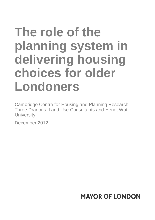# **The role of the planning system in delivering housing choices for older Londoners**

Cambridge Centre for Housing and Planning Research, Three Dragons, Land Use Consultants and Heriot Watt University.

December 2012

## **MAYOR OF LONDON**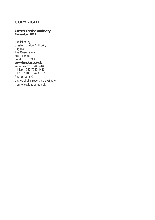### **COPYRIGHT**

#### **Greater London Authority November 2012**

Published by Greater London Authority City Hall The Queen's Walk More London London SE1 2AA **www.london.gov.uk** enquiries 020 7983 4100 minicom 020 7983 4458 ISBN 978-1-84781-528-6 Photographs © Copies of this report are available from www.london.gov.uk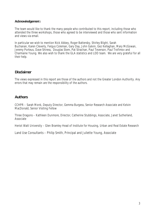#### **Acknowledgemen**ts

The team would like to thank the many people who contributed to this report, including those who attended the three workshops, those who agreed to be interviewed and those who sent information and views via email.

In particular we wish to mention Nick Abbey, Roger Battersby, Shirley Blight, Sarah Buchanan, Karen Cleverly, Fergus Coleman, Gary Day, John Galvin, Gez Kellaghan, Mary McGowan, Jeremy Porteus, Dave Shiress, Douglas Stem, Pat Strachan, Paul Teverson, Paul Trofimov and Charmaine Young. We also wish to thank the GLA statistics and LDD team. We are very grateful for all their help.

### **Disclaimer**

The views expressed in this report are those of the authors and not the Greater London Authority. Any errors that may remain are the responsibility of the authors.

### **Authors**

CCHPR – Sarah Monk, Deputy Director, Gemma Burgess, Senior Research Associate and Kelvin MacDonald, Senior Visiting Fellow

Three Dragons – Kathleen Dunmore, Director, Catherine Stubbings, Associate, Janet Sutherland, Associate

Heriot Watt University – Glen Bramley Head of Institute for Housing, Urban and Real Estate Research

Land Use Consultants – Philip Smith, Principal and Juliette Young, Associate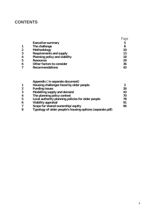## **CONTENTS**

|                  | <b>Executive summary</b>       | 5  |
|------------------|--------------------------------|----|
|                  | The challenge                  | 8  |
| $\overline{2}$   | Methodology                    | 10 |
| $\overline{3}$   | <b>Requirements and supply</b> | 13 |
| $\overline{4}$   | Planning policy and viability  | 18 |
| 5                | <b>Resources</b>               | 29 |
| $\boldsymbol{6}$ | Other factors to consider      | 36 |
|                  | <b>Recommendations</b>         | 43 |

|                | Appendix (in separate document)                           |    |
|----------------|-----------------------------------------------------------|----|
|                |                                                           |    |
| $\mathbf{1}$   | Housing challenges faced by older people                  |    |
| $\overline{2}$ | <b>Funding issues</b>                                     | 26 |
| $\overline{3}$ | Modelling supply and demand                               | 43 |
| $\overline{4}$ | The planning policy context                               | 70 |
| 5              | Local authority planning policies for older people        | 78 |
| 6              | <b>Viability appraisal</b>                                | 91 |
| 7              | Scope for shared ownership/equity                         | 96 |
| 8              | Typology of older people's housing options (separate pdf) |    |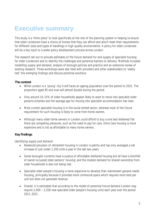## **Executive summary**

This study is a 'think piece' to look specifically at the role of the planning system in helping to ensure that older Londoners have a choice of homes that they can afford and which meet their requirements for different sizes and types of dwellings in high quality environments. A policy for older Londoners will be a key input to a wider policy development process across London.

The research set out to provide estimates of the future demand for and supply of specialist housing for older Londoners and to identify the challenges and potential barriers to delivery. Methods included modelling supply and demand, analysis of borough policies and practice and an extensive review of existing research. Three workshops were also held with providers and other stakeholders to 'reality test' the emerging findings and discuss potential solutions.

#### **The context**

- While London is a 'young' city it still faces an ageing population over the period to 2031. The proportion aged 85 and over will almost double during the period.
- Only around 10-15% of older households appear likely to want to move into specialist older persons schemes and the average age for moving into specialist accommodation has risen.
- Most current specialist housing is in the social rented sector, whereas most of the future requirement for such housing is likely to come from home owners.
- Although many older home owners in London could afford to buy a one bed sheltered flat there are competing pressures, such as the need to pay for care. Extra Care housing is more expensive and is not as affordable to many home owners.

### **Key findings**

#### *Identifying supply and demand*

- Newbuild provision of retirement housing in London is patchy and has only averaged a net increase of just under 1,200 units a year in the last two years.
- Some boroughs currently have a surplus of affordable sheltered housing but all have a shortfall of owner occupied older persons' housing; and the modest demand for shared ownership from older households is also not being met.
- Specialist older people's housing is more expensive to develop than mainstream general needs housing, principally because it provides more communal space which requires more land per unit but does not generate revenue.
- Overall, it is estimated that according to the model of potential future demand London may require 2,000 – 2,350 new specialist older people's housing units each year over the period 2011-2021.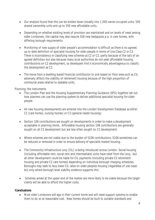- Our analysis found that this can be broken down broadly into 1,500 owner occupied units, 500 shared ownership units and up to 350 new affordable units.
- Depending on whether existing levels of provision are maintained and on levels of need among older Londoners, the capital may also require 500 new bedspaces p.a. in care homes, with differing borough requirements.
- Monitoring of new supply of older people's accommodation is difficult as there is no agreed, up to date definition of specialist housing for older people in terms of Use Class C2 or C3. There is inconsistency in classifying new schemes as C2 or C3, partly because of the lack of an agreed definition but also because many local authorities do not seek affordable housing contributions on C2 development, so developers find it economically advantageous to classify the development as C2.
- The move from a dwelling based financial contribution to one based on floor area such as CIL adversely affects the viability of retirement housing because of the high proportion of communal areas relative to saleable units.

### *Planning; the instruments*

- The London Plan and the Housing Supplementary Planning Guidance (SPG) together set out how planners can use the planning system to deliver additional specialist housing for older people.
- All new housing developments are entered into the London Development Database as either C2 (care homes, nursing homes) or C3 (general needs housing).
- Section 106 contributions are sought on developments in order to make a development acceptable in planning terms. Affordable housing section 106 contributions are generally sought on all C3 development but are less often sought on C2 development.
- Where schemes are not viable due to the burden of S106 contributions, S106 sometimes can be reduced or removed in order to ensure delivery of specialist market housing.
- The Community Infrastructure Levy (CIL) is being introduced across London. Social housing (including affordable rent, social rent and intermediate) units have relief from the Levy, but all other development could be liable for CIL payments (including private C3 retirement housing and private C2 care homes) depending on individual borough charging schedules. Boroughs may seek to levy lower CIL rates on older peoples housing (regardless of use class) but only where borough level viability evidence supports this.
- Schemes aimed at the upper end of the market are more likely to be viable because the target clients will be able to afford the higher costs.

#### **Conclusions**

 Most older Londoners will age in their current home and will need support systems to enable them to do so at reasonable cost. New homes should be built to suitable standards and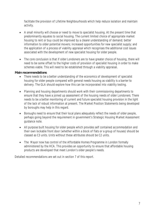facilitate the provision of Lifetime Neighbourhoods which help reduce isolation and maintain activity.

- A small minority will choose or need to move to specialist housing. At the present time that predominantly equates to social housing. The current limited choice of appropriate market housing to rent or buy could be improved by a clearer understanding of demand; better information to older potential movers; increased opportunities for new specialist supply; and the application of a process of viability appraisal which recognises the additional cost issues associated with the development of new specialist housing for older people.
- The core conclusion is that if older Londoners are to have greater choice of housing, there will need to be some offset to the higher costs of provision of specialist housing in order to make schemes viable. This will need to be established through a viability appraisal.

#### **Main recommendations**

- There needs to be a better understanding of the economics of development of specialist housing for older people compared with general needs housing as viability is a barrier to delivery. The GLA should explore how this can be incorporated into viability testing.
- Planning and housing departments should work with their commissioning departments to ensure that they have a joined up assessment of the housing needs of older Londoners. There needs to be a better monitoring of current and future specialist housing provision in the light of the lack of robust information at present. The Market Position Statements being developed by boroughs may help in this regard.
- Boroughs need to ensure that their local plans adequately reflect the needs of older people, perhaps going beyond the requirement in government's Strategic Housing Market Assessment guidance note.
- All purpose built housing for older people which provides self contained accommodation and their own lockable front door (whether within a block of flats or a group of houses) should be classed as C3 units. Units without these attributes should be C2 units.
- The Mayor now has control of the Affordable Homes Programme in London formally administered by the HCA. This provides an opportunity to ensure that affordable housing products are developed that meet London's older people's needs.

Detailed recommendations are set out in section 7 of this report.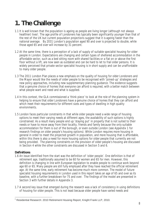## **1. The Challenge**

- 1.1 It is well known that the population is ageing as people are living longer (although not always healthier) lives<sup>1</sup>. The age profile of Londoners has typically been significantly younger than that of the rest of the UK but current population projections suggest that it is ageing faster than the national average. By 2031 London's population aged 90 and over is projected to double, while those aged 65 and over will increase by 31 percent.
- 1.2 At the same time, there is a perception of a lack of supply of suitable specialist housing for older people in London. Expectations are changing and certain types of sheltered accommodation in the affordable sector, such as a bed sitting room with shared facilities or a flat on or above the first floor without a lift, are now seen as outdated and can be hard to let to frail older persons. It is widely perceived that private sector specialist housing is in short supply and can be unaffordable to many older people.
- 1.3 The 2011 London Plan places a new emphasis on the quality of housing for older Londoners and the Mayor would like the needs of older people to be recognised with 'joined-up' strategies and new policy approaches, including new supplementary planning guidance. The evidence suggests that a genuine choice of homes that everyone can afford is required, with a better match between what people want and need and what is supplied.
- 1.4 In this context, the GLA commissioned a 'think piece' to look at the role of the planning system in helping to ensure that older Londoners have a genuine choice of homes that they can afford and which meet their requirements for different sizes and types of dwelling in high quality environments.
- 1.5 London faces particular constraints in that while older people need a wide range of housing options to meet their varying needs at different ages, the availability of such options is highly constrained. As a result many people end up 'staying put' in property that is not suited to their needs or have to move away from their locality, friends and family because the only suitable accommodation for them is out of the borough, or even outside London (see Appendix 1 for research findings on older people's housing options). While London requires more housing in general in order to meet the projected growth in population, and more housing that is affordable, within this there is also a need for more housing options for older people that currently are not being provided. The planning constraints on the provision of older people's housing are discussed in Section 4 while the other constraints are discussed in Section 5 and 6.

#### **Definitions**

- 1.6 An issue identified from the start was the definition of 'older people'. One definition is that of retirement age, traditionally assumed to be 60 for women and 65 for men. However, this definition is changing in line with European legislation to enable people to continue work beyond age 60 or 65. Many people are still fully employed after they have reached the official retirement age. At the same time, early retirement has become much more common. The model of future specialist housing requirements in London used in this report takes an age of 65 and over as its baseline, with a further breakdown for 75 and over. The findings of the model are presented in Section 3 with further details in Appendix 3.
- 1.7 A second key issue that emerged during the research was a lack of consistency in using definitions of housing for older people. This is not least because older people have varied needs and

 1 Residential Research: 2010 Retirement Housing Report, Knight Frank LLP, 2010.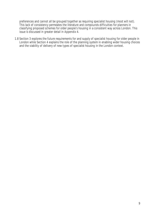preferences and cannot all be grouped together as requiring specialist housing (most will not). This lack of consistency permeates the literature and compounds difficulties for planners in classifying proposed schemes for older people's housing in a consistent way across London. This issue is discussed in greater detail in Appendix 4.

1.8 Section 3 explores the future requirements for and supply of specialist housing for older people in London while Section 4 explains the role of the planning system in enabling wider housing choices and the viability of delivery of new types of specialist housing in the London context.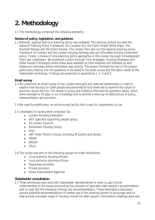## **2. Methodology**

2.1 The methodology comprised the following elements:

#### **Review of policy, legislation, and guidance**

2.2 National, regional and local planning policy was reviewed. The national context included the National Planning Policy Framework, the Localism Act, the Public Health White Paper, the Marmott Review and the Dilnot Review. The London Plan sets out the regional planning policy framework for London and the London Housing Strategy sets out affordable housing investment policy. Finally, a review of local planning policy approaches in the London borough's Development Plans was undertaken. We examined London borough Core Strategies, Housing Strategies and Older People's Strategies where these were available on their websites and followed up with telephone interviews where information was lacking. The review informed the rest of the project, particularly feeding into the questions to be asked in the email survey and the topics raised at the stakeholder workshops. Findings are presented in Appendices 1, 2, 4 and 5.

#### **Email survey**

- 2.3 We undertook an email survey of the London boroughs and selected stakeholders in order to explore how housing for older people was perceived at local level and to examine the nature of provision across the city. The review of policy and evidence informed the questions asked, which were intended to fill gaps in our knowledge and to provide a more up-to-date picture of policy, implementation and provision.
- 2.4 We used SurveyMonkey, an online survey facility that is easy for respondents to use.
- 2.5 Candidates for survey were contacted via:
	- London Housing Federation
	- NHF specialist supporting people group
	- All London Councils
	- Retirement Housing Group
	- $\bullet$  HIAs
	- HBF Older Person's Group (including McCarthy and Stone).
	- ARHM
	- $\bullet$  FROSH
	- $\bullet$  ARLA

2.6 The survey was sent to the following groups for wider distribution:

- Local authority housing officers
- Local authority planning officers
- Registered providers
- Private providers
- Home Improvement Agencies

#### **Stakeholder consultation**

2.7 Three workshops were held with stakeholder representatives In order to gain further understanding of the issues surrounding the provision of specialist older people's accommodation and to road-test the emerging findings and recommendations. These stimulated a discussion around potential recommendations for better use of the planning system to encourage and/or help provide a broader range of housing choices for older people. Consultation meetings were also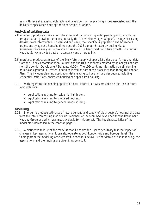held with several specialist architects and developers on the planning issues associated with the delivery of specialised housing for older people in London.

#### **Analysis of existing data**

- 2.8 In order to produce estimates of future demand for housing by older people, particularly those groups that are growing the fastest, notably the 'older' elderly (aged 80 plus), a range of existing datasets were interrogated. On demand and need, the recent GLA population and household projections by age and household type and the 2008 London Strategic Housing Market Assessment were analysed to provide a baseline and a benchmark for future growth. The English Housing Survey provided data on occupancy and affordability.
- 2.9 In order to produce estimates of the likely future supply of specialist older person's housing, data from the Elderly Accommodation Counsel and the HCA was complemented by an analysis of data from the London Development Database (LDD). The LDD contains information on all planning permissions granted in Greater London collected as part of the process of monitoring the London Plan. This includes planning application data relating to housing for older people, including residential institutions, sheltered housing and specialised housing.
- 2.10 With regard to the planning application data, information was provided by the LDD in three main data sets:
	- Applications relating to residential institutions;
	- Applications relating to sheltered housing;
	- Applications relating to general needs housing.

#### **Modelling**

- 2.11 In order to produce estimates of future demand and supply of older people's housing, the data were fed into a forecasting model which members of the team had developed for the Retirement Housing Group and which was made available for this project. The key characteristics of the model are summarised in the chart on page 12.
- 2.12 A distinctive feature of the model is that it enables the user to sensitivity test the impact of changes in key assumptions. It can also operate at both London wide and borough level. The findings from the modelling are presented in section 3 below. Further details of the modelling, the assumptions and the findings are given in Appendix 3.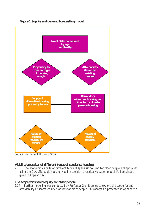

**Figure 1 Supply and demand forecasting model**

Source: Retirement Housing Group

#### **Viability appraisal of different types of specialist housing**

2.13 The economic viability of different types of specialist housing for older people was appraised using the GLA affordable housing viability toolkit – a residual valuation model. Full details are given in Appendix 6.

#### **The scope for shared equity for older people**

2.14 Further modelling was conducted by Professor Glen Bramley to explore the scope for and affordability of shared equity products for older people. This analysis is presented in Appendix 7.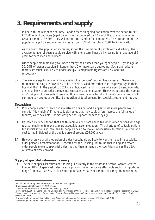## **3. Requirements and supply**

- 3.1 In line with the rest of the country, London faces an ageing population over the period to 2031. In 2001 older Londoners (aged 65 and over) accounted for 12.2% of the total population of Greater London. By 2031 they will account for 12.9% of all Londoners. The proportion of the population aged 85 and over will increase from 1.5% of the total in 2001 to 2.2% in 2031.
- 3.2 As the age of the population increases, so will the proportion of people with a disability. The average number of years people survive with a long term illness is increasing to an average of 5 years for both men and women<sup>2</sup>.
- 3.3 Older people are more likely to under-occupy their homes than younger people. By the age of 50, 60% of owner occupiers in London have 2 or more spare bedrooms. Social and private renters are much less likely to under-occupy – comparable figures are 17% and 28% respectively<sup>3</sup>.
- 3.4 The average age for moving into specialist older persons' housing has increased. Movers into retirement housing are now likely to be in their 70s and 80s rather than, as previously, in their 60s and 70s<sup>4</sup>. In the period to 2021 it is anticipated that it is households aged 85 and over who are most likely to consider a move into specialist accommodation. However, because the number of 65-84 year olds exceeds those aged 85 and over by a factor of 7:3 the 65-84 age group will continue to make up a significant proportion of total demand for specialist retirement housing.

#### **Downsizing**

- 3.5 Many people want to remain in mainstream housing, and it appears that more people would consider "downsizing" if more suitable homes that they could afford (across the full range of tenures) were available  $-$  homes designed to support them as they age<sup>5</sup>.
- 3.6 Research evidence shows that health improves and care needs fall when older persons with age related impairments move to more accessible accommodation<sup>6</sup>. The shortage of suitable options for specialist housing can lead to people having to move unnecessarily to residential care at a cost to the individual or the public purse of around  $£26,000$  a year<sup>7</sup>.
- 3.7 However only a small proportion of older households are likely to want to move into specialist older persons' accommodation. Research for the Housing Lin<sup>8</sup> found that in England fewer older people move to specialist older housing than in many other countries such as the USA, Australia or New Zealand.

#### **Supply of specialist retirement housing**

3.8 The bulk of specialist retirement housing is currently in the affordable sector. Across Greater London 81% of specialist older persons provision is in the social/affordable sector. Proportions range from less than 5% market housing in Camden, City of London, Hackney, Hammersmith,

j <sup>2</sup> Government Actuary's Department, ONS see chart 2 of Appendix.

<sup>3</sup> Commissioned table based on 2001 census

<sup>&</sup>lt;sup>4</sup> Commissioned Research for Retirement Housing Group.<br><sup>5</sup> Crousher K (2008) Including Usuaing Chaises and Aprim

Croucher K (2008) Including Housing Choices and Aspirations of Older People, Research from the New Horizons Programme, DCLG.

<sup>6</sup> *Some social consequences of remodelling English sheltered housing and care homes to extra care*" Wright Tinker et al in Ageing and Society Jan 2009

<sup>7</sup> Downsizing for older people into Specialist Accommodation Janet Sutherland Viewpoint 19 Housing LIN 2011

<sup>&</sup>lt;sup>8</sup> Downsizing for older people into Specialist Accommodation Janet Sutherland 2011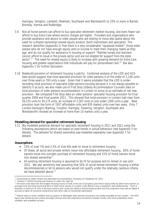Haringey, Islington, Lambeth, Newham, Southwark and Wandsworth to 33% or more in Barnet, Bromley, Harrow and Redbridge.

- 3.9 Not all home owners can afford to buy specialist retirement market housing, and even fewer can afford to buy Extra Care where service charges are higher. Providers and organisations who provide assistance and advice to older people who are looking to move also spoke about the need for a shared ownership/shared equity product (both mainstream and specialist). The research identifies (Appendix 2) that there is a very considerable "squeezed middle"; those older people who do not have enough equity and/or income to meet their changing needs as they age, and do not qualify for assistance in housing or support *"Retired nurses and teachers cannot afford to move in the private sector and are not eligible for support from the state sector".<sup>9</sup>* The need for shared equity is likely to increase with growing demand for Extra Care housing and greater expectations that individuals will pay for personalised care.<sup>10</sup> See also Appendix 1 for further discussion.
- 3.10 Newbuild provision of retirement housing is patchy. Combined analysis of the LDD and HCA data would suggest that total specialist provision for older persons is of the order of 2,100 units over three years or 700 units a year. Given that it seems probable that the LDD is underrecording total provision of specialist older persons housing because it is not always possible to identify it as such, we also made use of First Stop (Elderly Accommodation Counsel) data on total provision of older persons accommodation in London to arrive at an estimate of net new provision. We compared First Stop data on older persons' specialist housing provision for final quarter 2009 and final quarter 2011. This showed that total provision in London had risen from 56,533 units to 59,175 units, an increase of 2,587 units or just under 1300 units a year. New provision took the form of 1957 affordable units and 630 market units over two years. Only 7 London boroughs (Barking, Croydon, Haringey, Havering, Islington, Southwark and Wandsworth) showed an increase of more than 10 market units a year.

#### **Modelling demand for specialist retirement housing**

3.11 We modelled potential demand for specialist retirement housing in 2011 and 2021 using the following assumptions which are based on past trends in actual behaviour (see Appendix 3 for details). The demand for shared ownership was modelled separately (see Appendix 7 for details)

#### **Assumptions**

- 15% of over 75s and 2.5% of over 65s seek to move to retirement housing
- Of these, all social and private renters move into affordable retirement housing. 85% of home owners move into outright purchase of retirement housing and 15% of home owners move into shared ownership<sup>11</sup>.
- All existing retirement housing is assumed to be fit for purpose and to remain in use until 2021. We also sensitivity test assuming that 50% of social rented retirement housing is either decommissioned or let to persons who would not qualify under the relatively cautious criteria we have adopted above.<sup>12</sup>

 9 Downsizing for Older People into Specialist Accommodation, Housing LIN Viewpoint 19, 2011

<sup>&</sup>lt;sup>10</sup> Overton L (2010) Housing and Finance in Later Life, Age UK

<sup>&</sup>lt;sup>11</sup> We have used data from the English Housing Survey to look at the size of property (and hence equity held) by older home owners at borough level and have found that 85% of older home owners in London could afford to buy a newbuild 1 bed sheltered flat. There is therefore a minimum of 15% of all home owners who could only afford a shared equity product and this proportion may well be higher if account is taken of consumer preferences and other calls on household expenditure.

<sup>&</sup>lt;sup>12</sup> Robust data on stock condition and occupancy of affordable older persons housing is not readily available across London. The 50% figure was quoted by two London boroughs and accords with experience by districts outside London who have undertaken stock condition and suitability surveys.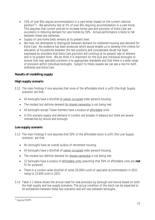- 10% of over 85s require accommodation in a care home (based on the current national position<sup>13</sup>). We sensitivity test at 5% of over 85s requiring accommodation in a care home. This assumes that current policies to increase home care and provision of Extra Care are successful in reducing demand for care homes by 50%. Actual performance is likely to fall between these two extremes.
- Supply of care home beds remains at its present level.
- We have not attempted to distinguish between demand for sheltered housing and demand for Extra Care. No evidence has been produced which would enable us to develop firm criteria for allocation of households between the two products and considerable doubt has been expressed by providers that Extra Care provision will continue at its present rate of delivery and in its present form. We do think it is important for the GLA and individual boroughs to ensure that new specialist provision is to appropriate standards and that there is a wide range of provision within individual boroughs. Subject to these caveats we can see a role for both sheltered and Extra Care.

### **Results of modelling supply**

### **High supply scenario**

- 3.12 The main findings if one assumes that none of the affordable stock is unfit (the High Supply scenario) are that;
	- All boroughs have a shortfall of owner-occupied older persons housing
	- The modest but definite demand for shared ownership is not being met
	- All boroughs except Tower Hamlets have a surplus of affordable units
	- In this scenario supply and demand in London are broadly in balance but there are severe mismatches by tenure and borough.

### **Low supply scenario**

- 3.13 The main findings if one assumes that 50% of the affordable stock is unfit (the Low Supply scenario) are that:
	- No boroughs have an overall surplus of retirement housing.
	- All boroughs have a shortfall of owner-occupied older persons housing.
	- The modest but definite demand for shared ownership is not being met
	- 12 boroughs have a surplus of affordable units (assuming that 50% of affordable units are **not** fit for purpose).
	- There is a London-wide shortfall of some 20,000+ units of specialist accommodation in 2011 rising to 23.600 units in 2021.
- 3.14 Table 3.1 below shows the annual need for new provision by borough and tenure based on both the high supply and low supply scenarios. The actual condition of the stock can be expected to lie somewhere between these two scenarios and will vary between boroughs.

 $\overline{a}$ 13 Source POPPI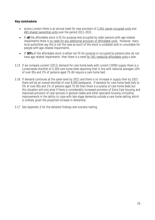#### **Key conclusions**

- across London there is an annual need for new provision of 1,541 owner occupied units and 465 shared ownership units over the period 2011-2021.
- If **all** the affordable stock is fit for purpose and occupied by older persons with age related impairments there is no need for any additional provision of affordable units. However, many local authorities say this is not the case as much of the stock is outdated and/or unsuitable for people with age-related impairments.
- If **50%** of the affordable stock is either not fit for purpose or occupied by persons who do not have age related impairments then there is a need for 361 newbuild affordable units a year.
- 3.15 If we compare current (2011) demand for care home beds with current (2009) supply there is a Londonwide shortfall of 5,300 care home beds assuming that in line with national averages 10% of over 85s and 2% of persons aged 75-84 require a care home bed.
- 3.16 If demand continues at the same level by 2021 and there is no increase in supply then by 2021 there will be an overall shortfall of over 8,000 bedspaces. If demand for care home beds falls to 5% of over 85s and 1% of persons aged 75-85 then there is a surplus of care home beds but this situation will only arise if there is considerably increased provision of Extra Care housing and improved provision of care services in general needs and other specialist housing (including improvements in the ability to cope with late stage dementia outside a care home setting which is unlikely given the projected increase in dementia).
- 3.17 See Appendix 3 for the detailed findings and scenario testing.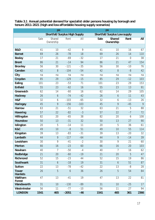|                                |                 | pa                                   |               |                 |                                     | pa                         |                 |      |
|--------------------------------|-----------------|--------------------------------------|---------------|-----------------|-------------------------------------|----------------------------|-----------------|------|
|                                |                 | <b>Shortfall/Surplus High Supply</b> |               |                 | <b>Shortfall/Surplus Low supply</b> |                            |                 |      |
|                                | Sale            | Shared<br>Ownership                  | Rent          | All             | <b>Sale</b>                         | <b>Shared</b><br>Ownership | Rent            | All  |
|                                |                 |                                      |               |                 |                                     |                            |                 |      |
| <b>B&amp;D</b>                 | 41              | 10                                   | $-42$         | $\overline{9}$  | 41                                  | 10                         | 16              | 67   |
| <b>Barnet</b>                  | 69              | $\overline{26}$                      | $-78$         | 18              | 69                                  | $\overline{26}$            | 14              | 110  |
| <b>Bexley</b>                  | 17              | $\overline{21}$                      | $-69$         | $-32$           | 17                                  | 21                         | $\overline{0}$  | 38   |
| <b>Brent</b>                   | 86              | 21                                   | $-14$         | 94              | 86                                  | 21                         | 47              | 154  |
| <b>Bromley</b>                 | 56              | 30                                   | $-121$        | $-35$           | 56                                  | 30                         | $-10$           | 76   |
| <b>Camden</b>                  | 42              | $\overline{8}$                       | $-104$        | $-54$           | 42                                  | 8                          | $-8$            | 42   |
| City                           | na              | na                                   | na            | na              | na                                  | na                         | na              | na   |
| Croydon                        | 85              | 29                                   | $-129$        | $-15$           | 85                                  | 29                         | $-12$           | 103  |
| <b>Ealing</b>                  | 101             | 23                                   | $-53$         | 71              | 101                                 | 23                         | 29              | 153  |
| <b>Enfield</b>                 | 55              | 23                                   | $-62$         | 16              | 55                                  | 23                         | 13              | 91   |
| Greenwich                      | 62              | 14                                   | $-60$         | 16              | 62                                  | 14                         | 29              | 105  |
| <b>Hackney</b>                 | $\overline{26}$ | 6                                    | $-74$         | $-42$           | $\overline{26}$                     | 6                          | 11              | 43   |
| H&F                            | 32              | 6                                    | $-103$        | $-65$           | 32                                  | 6                          | $-13$           | 26   |
| <b>Haringey</b>                | 45              | 9                                    | $-156$        | $-103$          | 45                                  | 9                          | $-45$           | 9    |
| <b>Harrow</b>                  | 63              | 21                                   | $-51$         | 32              | 63                                  | 21                         | 5               | 88   |
| <b>Havering</b>                | 57              | 22                                   | $-82$         | $-3$            | 57                                  | 22                         | $-7$            | 72   |
| <b>Hillingdon</b>              | 82              | 20                                   | $-65$         | 38              | 82                                  | 20                         | 6               | 108  |
| <b>Hounslow</b>                | 50              | 13                                   | $-31$         | $\overline{32}$ | 50                                  | 13                         | $\overline{27}$ | 90   |
| <b>Islington</b>               | 20              | 5                                    | $-14$         | 11              | 20                                  | $\overline{5}$             | 36              | 61   |
| K&C                            | 49              | 10                                   | $-8$          | 51              | 49                                  | 10                         | 55              | 114  |
| <b>Kingston</b>                | 39              | 13                                   | $-83$         | $-31$           | 39                                  | 13                         | $-20$           | 32   |
| <b>Lambeth</b>                 | 44              | 9                                    | $-117$        | $-64$           | 44                                  | 9                          | $-14$           | 39   |
| Lewisham                       | 30              | 9                                    | $-41$         | $-2$            | 30                                  | 9                          | 21              | 60   |
| <b>Merton</b>                  | 66              | 16                                   | $-23$         | 60              | 66                                  | 16                         | 20              | 103  |
| Newham                         | 40              | 7                                    | $-50$         | $-4$            | 40                                  | 7                          | 16              | 62   |
| <b>Redbridge</b>               | 21              | 20                                   | $-60$         | $-19$           | $\overline{21}$                     | 20                         | $\overline{5}$  | 47   |
| <b>Richmond</b>                | 52              | 15                                   | $-23$         | 44              | 52                                  | 15                         | 19              | 86   |
| <b>Southwark</b>               | 31              | 6                                    | $-18$         | 19              | 31                                  | 6                          | 51              | 87   |
| <b>Sutton</b>                  | 22              | 13                                   | $-78$         | $-42$           | 22                                  | 13                         | $-8$            | 28   |
| <b>Tower</b><br><b>Hamlets</b> | 26              | $\overline{5}$                       | $\mathfrak b$ | 36              | $\overline{26}$                     | $\overline{5}$             | 54              | 84   |
| Waltham<br><b>Forest</b>       | 47              | 13                                   | $-41$         | 19              | 47                                  | $\overline{13}$            | 22              | 81   |
| Wandsworth                     | 31              | 10                                   | $-130$        | $-89$           | 31                                  | 10                         | $-25$           | 17   |
| Westminster                    | 56              | 11                                   | $-77$         | $-10$           | 56                                  | 11                         | 27              | 94   |
| <b>LONDON</b>                  | 1541            | 465                                  | $-2051$       | $-46$           | 1541                                | 465                        | 361             | 2366 |

**Table 3.1 Annual potential demand for specialist older persons housing by borough and tenure 2011-2021 (high and low affordable housing supply scenarios)**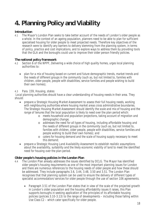## **4. Planning Policy and Viability**

#### **Introduction**

4.1 The Mayor's London Plan seeks to take better account of the needs of London's older people as a whole. In the context of an ageing population, planners need to be able to plan for sufficient specialised housing for older people to meet projected needs. Therefore key objectives of the research were to identify any barriers to delivery stemming from the planning system, in terms of policy, practice and cost implications, and to explore ways to address them by providing tools that the GLA and the boroughs could use to improve their older person friendly policies.

#### **The national policy framework**

- 4.2 Section 6 of the NPPF, *Delivering a wide choice of high quality homes*, urges local planning authorities to:
	- *plan for a mix of housing based on current and future demographic trends, market trends and the needs of different groups in the community (such as, but not limited to, families with children, older people, people with disabilities, service families and people wishing to build their own homes);*

#### 4.3 Para. 159, *Housing*, states:

 *Local planning authorities should have a clear understanding of housing needs in their area. They should:*

- *prepare a Strategic Housing Market Assessment to assess their full housing needs, working with neighbouring authorities where housing market areas cross administrative boundaries. The Strategic Housing Market Assessment should identify the scale and mix of housing and the range of tenures that the local population is likely to need over the plan period which:* 
	- o *meets household and population projections, taking account of migration and demographic change;*
	- o *addresses the need for all types of housing, including affordable housing and the needs of different groups in the community (such as, but not limited to, families with children, older people, people with disabilities, service families and people wishing to build their own homes); and*
	- o *caters for housing demand and the scale of housing supply necessary to meet this demand;*
- *prepare a Strategic Housing Land Availability Assessment to establish realistic assumptions about the availability, suitability and the likely economic viability of land to meet the identified need for housing over the plan period.*

#### **Older people's housing policies in the London Plan**

- 4.4 The London Plan already addresses the issues identified by DCLG. The Mayor has identified older people's housing requirements as one of the most important planning issues for London and there are numerous references to the housing needs of older people and how these should be addressed. They include paragraphs 3.6, 3.44, 3.48, 3.50 and 3.51. The London Plan recognises that that planning system can be used to ensure the delivery of different types of specialist accommodation/services for older people through the use of section 106 agreements.
	- Paragraph 3.51 of the London Plan states that in view of the scale of the projected growth in London's older population and the housing affordability issues it raises, this Plan supports boroughs in seeking application of the principles of its affordable housing policies (policies 3.10-3.13) to the range of developments – including those falling within Use Class C2 – which cater specifically for older people.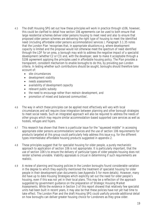- 4.5 The draft Housing SPG set out how these principles will work in practice through s106, however, this could be clarified to detail how section 106 agreements can be used to both ensure that large residential schemes deliver older persons housing to meet need and also to ensure that proposed older person schemes are delivering the right type of housing to meet the identified need (including affordable older persons accommodation/services ). Paragraph 3.1.35 notes that the London Plan '*recognises that, in appropriate situations e.g. where development capacity is limited and the proposal would not otherwise meet the spectrum of need identified through the LDF for an area, a borough may wish to address the negative impact of a specialist development (whether C2 or C3) and, with the developer, seek to make it acceptable through a S106 agreement applying the principles used in affordable housing policy. The Plan provides a transparent, consistent mechanism to enable boroughs to do this, by providing pan London criteria. In testing whether such contributions should be sought, boroughs should therefore take account of:*
	- *site circumstances*
	- *development viability*
	- *needs assessments*
	- *availability of development capacity*
	- *relevant public subsidy*
	- *the need to encourage rather than restrain development, and*
	- *promotion of mixed and balanced communities*'.
- 4.6 The way in which these principles can be applied most effectively will vary with local circumstances and will require close integration between planning and other borough strategies to meet social needs. Such an integrated approach will also be required to address the needs of other groups which may require similar accommodation-based supported care services as well as hostels, refuges and foyers.
- 4.7 This research has shown that there is a particular issue for the "squeezed middle" in accessing appropriate older persons accommodation/services and the use of section 106 requirements for products targeted at this group could particularly help address this issue e.g. for the different types intermediate/affordable housing products suggested in appendix 2.
- 4.8 These principles suggest that for specialist housing for older people, a purely mechanistic approach to application of section 106 is not appropriate. It is particularly important, that the use of section 106's to ensure the delivery of particular types of older peoples housing does not render schemes unviable. Viability appraisals is cricual in determining if such requirements are realistic.
- 4.9 A review of planning and housing policies in the London boroughs found considerable variation in the degree to which they explicitly mentioned the treatment of specialist housing for older people in their development plan documents (see Appendix 5 for more details). However, many did have up to date Housing Strategies which explicitly set out the need for older people's housing, even if this was not yet in their local plans. This may be a reflection of the approach suggested by government guidance on the preparation of Strategic Housing Market Assessments. While the evidence in Section 3 of this report showed that relatively few specialist units had been built in recent years, it may also be that these policies have not yet had time to take effect. The London Plan and the draft Housing SPG could usefully provide additional detail on how boroughs can deliver greater housing choice for Londoners as they grow older.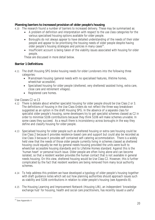### **Planning barriers to increased provision of older people's housing**

- 4.10 The research found a number of barriers to increased delivery. These may be summarised as:
	- A problem of definition and interpretation with respect to the use class categories for the various specialised housing options available for older people.
	- Boroughs do not always appear to have detailed understanding of the needs of their older people and appear to be prioritising the housing needs of older people despite having older people's housing strategies and policies in many cases<sup>14</sup>.
	- Insufficient account is being taken of the viability issues associated with housing for older people.

These are discussed in more detail below.

### **Barrier 1 Definitions**

- 4.11 The draft Housing SPG broke housing needs for older Londoners into the following three categories:
	- Mainstream housing (general needs with no specialised features, lifetime homes, wheelchair accessible).
	- Specialised housing for older people (sheltered, very sheltered/assisted living, extra care, close care and retirement villages).
	- Registered care homes.

#### *Use Classes C2 vs C3*

- 4.12 There is debate about whether specialist housing for older people should be Use Class 2 or 3. The definitions of housing in the Use Class Orders do not reflect the three-way breakdown suggested as an option in the draft Housing SPG. In the absence of a separate class for specialist older people's housing, some developers try to get specialist schemes classed as C2 in order to minimise S106 contributions because they think S106 will make schemes unviable. In some cases they succeed. As a result there is inconsistency across boroughs in the way they define and classify housing for older people.
- 4.13 Specialised housing for older people such as sheltered housing or extra care housing could be Use Class 2 because it provides residence-based care and support but could also be recorded as Use Class 3 because it provides self contained self-catering accommodation. There is a widely held view that the needs of those older people currently living in schemes classed as sheltered housing could equally be met by general needs housing provided the units were built to wheelchair accessible housing standards and to Lifetime Homes standard. Against this is the 'human heart' or personal touch issue. Older people are often living alone and can become isolated, so that a resident warden provides the human contact that is not available in general needs housing. On this view, sheltered housing would be Use Class C2. However, this is further complicated by the fact that resident wardens are being removed from many local authority schemes.
- 4.14 To help address this problem we have developed a typology of older people's housing together with draft guidance notes which set out how planning authorities should approach issues such as viability and S106 contributions in relation to older people's housing (see Appendix 8).
- 4.15 The Housing Learning and Improvement Network (Housing LIN), an independent 'knowledge exchange hub' for housing, health and social care practitioners, has recently issued a useful

 $\overline{a}$ <sup>14</sup> See Appendix 4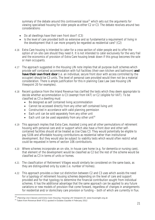summary of the debate around this controversial issue<sup>15</sup> which sets out the arguments for viewing specialised housing for older people as either C2 or C3. The debate revolves around two considerations:

- Do all dwellings have their own front door? (C3)
- Is the level of care provided both so extensive and so fundamental a requirement of living in the development that it can more properly be regarded as residential care? (C2)
- 4.16 Extra Care housing is intended to cater for a cross section of older people and to offer the option of on-site care should they need it. It is not intended to cater exclusively for the very frail and the economics of provision of Extra Care housing break down if this group becomes the sole or main occupants.
- 4.17 The approach suggested in the Housing LIN note implies that all purpose-built schemes which provide self contained accommodation with full facilities (their own kitchen and bathroom) **and have their own front door** (i.e. an individual, secure front door with access controlled by the occupier) should be C3 units. The level of personal care provided would then not be a material consideration. There is ample justification for this in planning Case Law (see Housing LIN Viewpoint 20 for examples).
- 4.18 Recent guidance from the Inland Revenue has clarified the tests which they deem appropriate to decide whether accommodation is C3 (exempt from VAT) or C2 (eligible for VAT). To be classified as C3 a dwelling must
	- Be designed as self contained living accommodation
	- Cannot be accessed directly from any other self contained living unit
	- Constructed in accordance with valid planning permission
	- Each unit can be sold separately from any other unit
	- Each unit can be used separately from any other unit<sup>16</sup>
- 4.19 This approach implies that Extra Care, Assisted Living and all other permutations of retirement housing with personal care and/or support which also have a front door and other selfcontained facilities should all be treated as Use Class C3. They would potentially be eligible to pay S106 and affordable housing contributions as residential rather than institutional development. But they would also be subject to viability tests which would often restrict what could be requested in terms of section 106 contributions.
- 4.20 Where schemes incorporate an on-site, in-house care home (e.g. for dementia or nursing care), that element of the development would be classified as C2 but the rest of the scheme would be classified as C3 in terms of units or homes.
- 4.21 The classification of Retirement Villages would similarly be considered on the same basis, as they are distinguished only by scale (i.e. number of homes).
- 4.22 This approach provides a clear cut distinction between C2 and C3 uses which avoids the need for a typology of retirement housing schemes depending on the level of care and support provided and for that typology to determine the financial contribution sought from individual schemes. It has the additional advantage that the same approach can be applied to any future variations or new models of provision that come forward, regardless of changes in arrangements for residential and/or domiciliary care provision or funding – both of which are currently in flux.

 $\overline{\phantom{a}}$ 

<sup>15</sup> *Planning Use Classes and Extra Care Housing*, Housing LIN Viewpoint 20. www.housinglin.org.uk

<sup>&</sup>lt;sup>16</sup> Taken from Revenue Brief 47/11 quoted in Estates Gazette 4 February 2012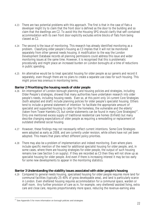- 4.23 There are two potential problems with this approach. The first is that in the case of flats a developer might try to claim that the front door is defined as the door to the building and so claim that the dwellings are C2. To avoid this the Housing SPG should clarify that self-contained accommodation with its own front door explicitly excludes entire blocks of flats from being classed as C2.
- 4.24 The second is the issue of monitoring. This research has already identified monitoring as a problem. Classifying older people's housing as C3 implies that it will not be monitored separately from other general needs housing. A modification to the way the London Development Database records all planning permissions could address this issue and wider monitoring issues at the same time. However, it is recognised that this is problematic procedurally and might place an increased burden on London boroughs at a time of reductions in public spending.
- 4.25 An alternative would be to treat specialist housing for older people as *sui generis* and record it separately, even though there are no plans to create a separate use class for such housing. This might prove less onerous in monitoring terms.

#### **Barrier 2 Prioritising the housing needs of older people**

- 4.26 An interrogation of London borough planning and housing policies and strategies, including Older People's strategies, showed that many authorities have undertaken research into older people's needs, including housing needs. Even so, at this point only 14 current Core Strategies (both adopted and draft) include planning policies for older people's specialist housing. Others tend to include a general statement of intention 'to facilitate the appropriate amount of specialist and supported housing to cater for the homeless, the vulnerable and the elderly' (taken from Tower Hamlets CS, but similar statements can be found in many Core Strategies)<sup>17</sup>. Only one mentioned excess supply of traditional residential care homes (Enfield) but many describe changing expectations of older people as requiring a remodelling or replacement of outdated sheltered social housing.
- 4.27 However, these findings may not necessarily reflect current intentions. Some Core Strategies were adopted as early as 2008, and are currently under revision, while others have not yet been adopted. This means that plans reflect different policy priorities.
- 4.28 There may also be a problem of implementation and indeed monitoring. Even where plans include specific mention of the need for additional specialist housing for older people, and, in some cases, where there are housing strategies for older people, the output of such housing remains low (see Section 5 on supply). If they are recorded as C3 then they will not show up as specialist housing for older people. And even if there is increasing interest it may be too early for some new developments to appear in the monitoring statistics.

#### **Barrier 3 Understanding the viability issues associated with older people's housing**

4.29 Compared to general needs housing, specialised housing for older people requires more land for communal facilities (typically 25-40% of gross developable area), and land is particularly scarce in London. Even sheltered housing requires accommodation for a communal space, warden or staff room. Any further provision of care as in, for example, very sheltered/assisted living, extra care and close care, requires proportionately more space, reducing the revenue-earning area

 $\overline{a}$  $17$  See Appendix 5 for more information on borough policies and strategies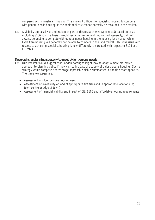compared with mainstream housing. This makes it difficult for specialist housing to compete with general needs housing as the additional cost cannot normally be recouped in the market.

4.30 A viability appraisal was undertaken as part of this research (see Appendix 5) based on costs excluding S106. On this basis it would seem that retirement housing will generally, but not always, be unable to compete with general needs housing in the housing land market while Extra Care housing will generally not be able to compete in the land market. Thus the issue with respect to achieving specialist housing is how differently it is treated with respect to S106 and CIL rates.

#### **Developing a planning strategy to meet older persons needs**

- 4.31 Our research would suggest that London boroughs might look to adopt a more pro-active approach to planning policy if they wish to increase the supply of older persons housing. Such a strategy would comprise a three stage approach which is summarised in the flowchart opposite. The three key stages are:
	- Assessment of older persons housing need
	- Assessment of availability of land of appropriate site sizes and in appropriate locations (eg town centre or edge of town)
	- Assessment of financial viability and impact of CIL/S106 and affordable housing requirements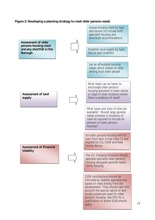#### **Figure 2: Developing a planning strategy to meet older persons needs**



apply.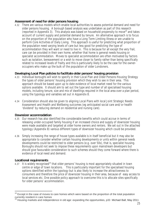#### **Assessment of need for older persons housing**

4.32 There are various models which enable local authorities to assess potential demand and need for older persons housing. A borough based analysis was undertaken as part of this research (reported in Appendix 3). This analysis was based on household propensity to move<sup>18</sup> and takes account of current supply and potential demand by tenure. An alternative approach is to focus on the proportion of the population who have a Long Term Limiting Illness or are unable to perform Core Activities of Daily Living. This approach is useful for predicting what proportion of the population need varying levels of care but less good for predicting the type of accommodation they will want or need to live in. This is because for all except the very frail, care can be provided in their own home, whether that home is general needs housing or specialist accommodation. Moves to specialist accommodation are often motivated by factors such as isolation, bereavement or a wish to move closer to family rather than being specifically related to increased levels of frailty and this is particularly likely to be the case for the owneroccupiers who make up the bulk of the population of older Londoners.

#### **Developing Local Plan policies to facilitate older persons' housing provision**

- 4.33 Individual boroughs will wish to specify in their Local Plan and Older Persons Housing Strategy the types of older persons' housing provision which they wish to see in their area. This approach should be based upon up to date evidence of local market need for the various options available. It should aim to set out the type and number of all specialised housing models, including tenure, size and mix of dwellings required in the local area over a plan period, using the typology and variables set out in Appendix 8.
- 4.34 Consideration should also be given to aligning Local Plans with local Joint Strategic Needs Assessment and Health and Wellbeing outcomes (eg anticipated social care and/or health 'dividend' by reducing demand on residential and nursing care).

#### **Downsizer accommodation**

- 4.35 Our research has also identified the considerable benefits which could accrue in terms of releasing under-occupied family housing if an increased choice and supply of downsizer housing were made available and targeted at older home owners and renters. We set out in the attached typology (Appendix 8) various different types of downsizer housing which could be provided.
- 4.36 Simply increasing the range of house types available is in itself beneficial but it may also be appropriate to consider whether certain housing developments or units within general needs developments could be restricted to older persons (e.g. over 50s), that is, specialist housing. Boroughs should not seek to impose these requirements upon mainstream developers but should give favourable consideration to such schemes should they come forward where there is evidence of local need and demand.

#### **Locational requirements**

 $\overline{1}$ 

4.37 It is widely recognised<sup>19</sup> that older persons' housing is most appropriately situated in town centre or edge of town locations. This is particularly important for the specialised housing options identified within the typology but is also likely to increase the attractiveness to consumers and therefore the price of downsizer housing in their area, because of easy access to local services etc. One possible policy approach to overcome this is to allocate sites specifically for older persons' accommodation.

 $18$  Except in the case of moves to care homes which were based on the proportion of the total population currently resident in care homes

 $19$  Housing markets and independence in old age: expanding the opportunities, p33 Michael Ball, May 2011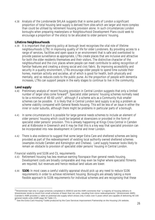4.38 Analysis of the Londonwide SHLAA suggests that in some parts of London a significant proportion of total housing land supply is derived from sites which are larger and more complex than could be utilised by retirement housing provision alone. In such circumstances London boroughs when preparing masterplans or Neighbourhood Development Plans could seek to encourage a proportion of the site(s) to be allocated to older persons' housing.

#### **Lifetime Neighbourhoods**

4.39 It is important that planning policy at borough level recognises the vital role of lifetime neighbourhoods (LTN) in improving quality of life for older Londoners. By providing access to a range of services, facilities and open space in an environment that is safe and overlooked to provide passive surveillance as appropriate, LTNs create places that are inclusive and attractive for both the older residents themselves and their visitors. The distinctive character of the neighbourhood and the civic places where people can meet contribute to aiding recognition of familiar features and creating a strong social and civic fabric. By improving accessibility and security in a quality environment, LTNs encourage older people to spend time outside their homes, maintain activity and socialise, all of which is good for health, both physically and mentally, and so reduces costs to the public purse. As the proportion of people with dementia increases, LTNs can support people in the early stages to continue to live in the community.

#### **Land supply**

- 4.40 Preliminary analysis of recent housing provision in Central London suggests that only a limited number of larger sites come forward<sup>20</sup>. Specialist older persons' housing schemes normally need to be a minimum of 40-60 units $21$ , although if a scheme acts as a Community Hub smaller schemes can be possible. It is likely that in Central London land supply is as big a problem as scheme viability compared with General Needs housing. This will be less of an issue in either the inner or outer suburbs, although there might be problems in particular parts of a borough.
- 4.41 In some circumstances it is possible for large general needs schemes to include an element of older persons' housing which could be targeted at downsizers or provided in the form of specialist older persons' provision. This is already happening at Kings Cross Central in Camden and at Kidbrooke in Greenwich and it may be that this is a key way that specialist provision can be incorporated into new development in Central and Inner London.
- 4.42 There is also evidence to suggest that some larger Extra Care and sheltered schemes are being provided as part of the redevelopment of existing local authority owned sheltered schemes (examples include Camden and Kensington and Chelsea). Land supply however looks likely to remain an obstacle to provision of specialist older persons' housing in Central London.

#### *Financial viability and S106 and CIL requirements*

- 4.43 Retirement housing has less revenue-earning floorspace than general needs housing. Development costs are broadly comparable and may even be higher where specialist fitments are required, but revenues and hence residual land values are lower.
- 4.44 **S106**: In most cases a careful viability appraisal should pick up any need to reduce S106 requirements in order to achieve retirement housing. Boroughs are already taking a more flexible approach to S106 requirements for individual schemes and are recognising that these

j  $^{20}$ Westminster had only 3 Large schemes completed in 2009/10 and the AMR comments that " a majority of housing delivery in Westminster tends to result from small schemes of fewer than ten units, resulting from minor redevelopments." (Westminster AMR) Camden's AMR provides a table on potential site supply which shows only 4 sites over 5 years which are capable of delivering 40-100 general needs units (AMR page 56 Table 17).

See the Extra Care Housing Toolkit produced by the Care Services Improvement Partnership on the Housing LIN website.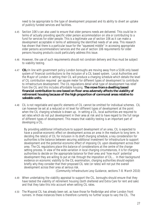need to be appropriate to the type of development proposed and its ability to divert an uptake of publicly funded services and facilities.

- 4.45 Section 106's can also used to ensure that older persons needs are delivered. This could be in terms of actually providing specific older person accommodation on site or contributing to a fund for services for older people. This is a legitimate use of section 106 as it can make a development acceptable in terms of addressing the identified needs of an area. This research has shown that there is a particular issue for the "squeezed middle" in accessing appropriate older persons accommodation/services and the use of section 106 requirements for older persons housing products could particularly address this issue.
- 4.46 However, the use of such requirements should not constrain delivery and thus must be subject to viability testing.
- 4.47 **CIL:** In line with government policy London boroughs are moving away from a S106 only based system of financial contributions to the inclusion of a CIL based system. Local Authorities and the Mayor of London in setting their CIL will produce a charging schedule which details the level of CIL contribution required per square meter for different types of development to contribute to infrastructure development. The CIL regulations detail what type of development has relief from the CIL and this includes affordable housing. **The move from a dwelling based financial contribution to one based on floor area adversely affects the viability of retirement housing because of the high proportion of communal areas relative to saleable units.**
- 4.48 CIL is not negotiable and specific elements of CIL cannot be omitted for individual schemes. CIL can however be set at a reduced or nil level for different types of development at the point when the CIL charging schedule is drawn up. In setting a CIL, local authorities are required to set rates which do not put development in their area at risk and to have regard to the full range of different types of development. This means that viability testing is an important part of developing a CIL.

*By providing additional infrastructure to support development of an area, CIL is expected to*  have a positive economic effect on development across an area in the medium to long term. In *deciding the rate(s) of CIL for inclusion in its draft charging schedule, a key consideration for authorities is the balance between securing additional investment for infrastructure to support development and the potential economic effect of imposing CIL upon development across their area. The CIL regulations place this balance of considerations at the centre of the chargesetting process. In view of the wide variation in local charging circumstances, it is for charging authorities to decide on the appropriate balance for their area and 'how much' potential development they are willing to put at risk through the imposition of CIL… In their background evidence on economic viability to the CIL examination, charging authorities should explain briefly why they consider that their proposed CIL rate (or rates) will not put the overall development across their area at serious risk.* 

*(Community Infrastructure Levy Guidance, sections 7-8. March 2010)*

- 4.49 When undertaking the viability appraisal to support the CIL, boroughs should ensure that they have tested the viability of retirement housing (both sheltered and Extra Care for rent and sale) and that they take this into account when setting CIL rates.
- 4.50 The Mayoral CIL has already been set, as have those for Redbridge and other London front runners. In these instances there is therefore currently no further scope to vary the CIL. The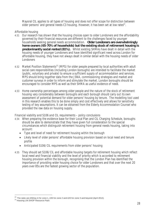Mayoral CIL applies to all types of housing and does not offer scope for distinction between older persons' and general needs C3 housing. However, it has been set at low rates $^{22}$ .

#### *Affordable housing*

- 4.51 Our research has shown that the housing choices open to older Londoners and the affordability governed by their financial resources are different to the challenges faced by younger households seeking general needs accommodation. **Older Londoners are overwhelmingly home owners (65-70% of households) but the existing stock of retirement housing is predominantly social rented (81%).** Whilst existing SHMAs have dealt in detail with the housing needs of younger Londoners and have identified significant need across London for affordable housing, they have not always dealt in similar detail with the housing needs of older **Londoners**
- 4.52 Market Position Statements<sup>23</sup> (MPS) for older people prepared by local authorities with adult social care responsibilities (including London boroughs) are intended to facilitate the market (public, voluntary and private) to ensure a sufficient supply of accommodation and services. MPS should bring together data from the JSNA, commissioning strategies and market and customer surveys in order to inform and stimulate the market. London boroughs should be encouraged to consider MPS as well as their SHMA as useful evidence of need.
- 4.53 Home ownership percentages among older people and the nature of the stock of retirement housing vary considerably between boroughs and each borough should carry out its own assessment of potential demand for older persons' housing by tenure. The modelling tool used in this research enables this to be done simply and cost effectively and allows for sensitivity testing of key assumptions. It can be obtained from the Elderly Accommodation Counsel who provided the raw data on housing supply.

#### *Financial viability and S106 and CIL requirements – policy conclusions*

- 4.54 When preparing the evidence base for their Local Plan and CIL Charging Schedule, boroughs should be able to demonstrate that they have given full consideration to the special circumstances which distinguish retirement housing from general needs housing, taking into account:
	- Type and level of need for retirement housing within the borough
	- Likely level of older persons' affordable housing provision based on local need and tenure profile
	- Anticipated S106/CIL requirements from older persons' housing
- 4.55 They should set S106/CIL and affordable housing targets for retirement housing which reflect local need and financial viability and the level of priority which is accorded to retirement housing provision within the borough, recognising that the London Plan has identified the importance of providing wider housing choice for older Londoners and that over the next 20 years over 85s are the fastest growing sector of the population.

 $\overline{a}$  $^{22}$  The rates are £50/sq m for zone 1, £35 for zone 2 and £20 for zone 3 and beyond (April 2012).

<sup>&</sup>lt;sup>23</sup> Housing LIN SHOP Resource Pack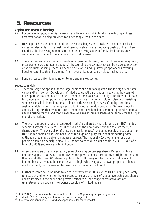## **5. Resources**

#### **Capital and revenue funding**

- 5.1 London's older population is increasing at a time when public funding is reducing and less accommodation is being provided for older people than in the past.
- 5.2 New approaches are needed to address these challenges, and a failure to do so could lead to increasing demands on the health and care budgets as well as reducing quality of life. There could also be increasing numbers of older people living alone in family sized homes unless suitable housing is built to encourage them to downsize.
- 5.3 There is clear evidence that appropriate older people's housing can help to reduce the growing pressures on care and health budgets<sup>24</sup>. Recognising the savings that can be made by provision of appropriate housing, there is a need to develop joined up strategic approaches covering housing, care, health and planning. The Mayor of London could help to facilitate this.
- 5.4 Funding issues differ depending on tenure and market sector.

#### *Squeezed middle*

- 5.5 There are very few options for the large number of owner occupiers without a significant asset value and/or income<sup>25</sup>. Developers of middle value retirement housing say that they cannot develop in Central and much of Inner London as land values are too high and they find it hard to compete with other potential uses such as high density homes sold off plan. Most existing schemes for sale in Inner London are aimed at those with high levels of equity, and those seeking middle value homes may need to look in outer London boroughs. Our own viability appraisal suggests that even in Outer London, specialist housing cannot compete with general needs housing for the land that is available. As a result, private schemes cater only for the upper end of the market.
- 5.6 The two main options for the 'squeezed middle' are shared ownership, where on HCA funded schemes they can buy up to 75% of the value of the new home from the sale proceeds, or shared equity. The availability of these schemes is limited, $26$  and some people are excluded from HCA funded shared ownership because of too high an equity value of their existing home (although they may be able to purchase resales). The national HCA programme for older people's shared ownership is small (191 homes were sold to older people in 2009-10 out of a total of 3,000) and even smaller in London.
- 5.7 A few developers offer shared equity sales of varying percentage shares. Research outside London suggests that 20% of older owner occupiers cannot afford to buy outright but most of them could afford an 80% shared equity product. This may not be the case in all areas of London because average house prices are so high, which suggests a lower proportion shared equity product, may be needed to meet need in some parts of London.
- 5.8 Further research could be undertaken to identify whether this level of HCA funding accurately reflects demand, or whether there is scope to expand the level of shared ownership and shared equity schemes in the public and private sectors to offer a range of attractive options (mainstream and specialist) for owner occupiers of limited means.

 $\overline{a}$  $24$  CLG (2009) Research into the financial benefits of the Supporting People programme

<sup>&</sup>lt;sup>25</sup> Overton L (2010) Housing and Finance in Later Life, Age UK

<sup>&</sup>lt;sup>26</sup> HCA data compendium 2011 (and see Appendix 2 for more details)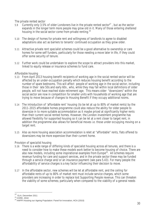#### *The private rented sector*

- 5.9 Currently only 3.5% of older Londoners live in the private rented sector<sup>27</sup>, but as the sector expands in the longer term more people may grow old in it. Many of those entering sheltered housing in the social sector come from private renting.<sup>28</sup>
- 5.10 The design of homes for private rent and willingness of landlords to agree to disabled adaptations also act as barriers to tenants' continued occupation as they grow older.
- 5.11 Attractive private rent specialist schemes could be a good alternative to ownership or care homes for some self funders, particularly for those needing a move later in life, if they could offer some security of tenure.
- 5.12 Further work could be undertaken to explore the scope to attract providers into this market, linked to equity release or insurance schemes to fund care.

#### *Affordable housing*

- 5.13 From April 2013 housing benefit recipients of working age in the social rented sector will be affected by an under-occupation penalty which reduces housing benefit according to the number of spare bedrooms. This will affect people of working age in the social sector, including those in their late 50s and early 60s , who, while they may fall within local definitions of older people, will not have reached state retirement age. This means older "downsizers" within the social sector are now in competition for smaller units with households of working age that are trying to move because of changes to Housing Benefit if they occupy additional rooms.
- 5.14 The introduction of 'affordable rent' housing (to be let at up to 80% of market rents) by the 2011-2015 affordable homes programme could also reduce the ability for older people to downsize in to more suitable accommodation as it maybe priced at significantly higher rents than their current social rented homes. However, the London investment programme has allowed flexibility for supported housing so it can be let at a rent closer to target rent, in addition the programme also allows for beneficial moves i.e. those under occupying moving on a target rent.
- 5.15 Also as more housing association accommodation is relet at "affordable" rents, flats offered to downsizers may be more expensive than their current home.

#### *Provision of specialist housing*

- 5.16 There is a wide range of differing kinds of specialist housing across all tenures, and there is a need to consider how to make these models work better to become housing of choice. There are also new models, including some inspirational examples from Europe<sup>29</sup>. All schemes require revenue funding for care and support services, and in the private sector these may be funded through a service charge and/or an insurance payment (see para 5.43). For many people the affordability of service charges is a key factor influencing their decision to move.
- 5.17 In the affordable sector, new schemes will be let at affordable rent, and the ceiling for affordable rents of up to 80% of market rent must include service charges, which some providers are increasing in order to replace lost Supporting People revenue. This can threaten the viability of some schemes; particularly when compared to the viability of a general needs

 $\overline{\phantom{a}}$ 

<sup>&</sup>lt;sup>27</sup> GLA, December 2011

<sup>28</sup> CORE, 2010

<sup>&</sup>lt;sup>29</sup> HAPPI Housing our Ageing Population: Panel for Innovation, HCA (2010)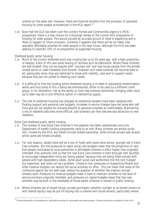scheme on the same site. However, there are financial benefits from the provision of specialist housing for older people as evidenced in the HCA report.<sup>30</sup>

5.18 Now that the GLA has taken over the London Homes and Communities Agency's (HCA) programme, there is a new chance for a thorough review of the current HCA programme of housing for older people. This would provide an accurate picture of what is happening and is likely to happen to future provision. Currently it appears that there will be far fewer new specialist affordable schemes for older people in the near future, although the HCA has been seeking to maintain 10% of its programme as supported housing.

#### *Sheltered public sector housing*

- 5.19 Much of the current sheltered stock was constructed up to 50 years ago, with a high proportion of bedsits, a lack of lifts and some sharing of facilities such as bathrooms. Where these schemes are well located, they can be popular with "younger old" and may house people from the private rented sector or older homeless from hostels. However such older schemes can become hard to let, particularly when they are restricted to those with mobility, care and/or support needs because they are not suited to meeting such needs.
- 5.20 It is difficult to find the funding where sheltered housing is in need of substantial modernisation works and thus some of this is being decommissioned, either to be used by a different client group, or for demolition. Yet as the ability to fund new schemes diminishes, bringing older stock up to date may be a cost-effective option of maintaining supply.
- 5.21 The role of sheltered housing has changed as residential wardens have been replaced with floating support and personal care budgets. Increases in service charges have led some who self fund and are not eligible for Housing Benefit to perceive schemes as unaffordable. Maintaining a mix of residents becomes more difficult, and schemes can then become less attractive to new residents.

#### *Extra Care sheltered public sector housing*

- 5.22 The number of new Extra Care schemes in the pipeline has fallen substantially since the Department of Health funding programme came to an end. Many schemes are wholly social rent, funded by the HCA, but others include shared ownership, some include private sale as well, whilst some are rented privately.
- 5.23 For cost reasons, ideally there will be a mix of frailty with some more active, younger old in Extra Care schemes. But the pressures on adult social care budgets mean that the proportion of very frail people nominated by local authorities in affordable schemes is often higher than originally intended. One authority told us that the new Extra Care schemes in their borough with facilities to encourage independent living are 'being wasted' because they are being filled entirely with people with high dependency needs. Some adult social care authorities find the rent charged too expensive, and voids can be a problem. Linked to this, pressures on Supporting People and other revenue budgets can reduce the social activities on offer. This can mean that some of the communal spaces are not well used, raising the question of whether the original concept remains valid. Pressures on revenue budgets make it hard to maintain schemes to the level of service provision originally intended, and pressures on capital budgets mean that few new schemes may be built to the standards of those earlier schemes in receipt of public funding.
- 5.24 Where schemes are of mixed tenure, private purchasers (whether outright or as shared owners or with shared equity) may be put off buying into a scheme with social tenants, particularly where

 $\overline{a}$  $^{30}$  Financial benefits of investment in specialist housing for vulnerable and older people, Frontier Economics analysis for the HCA.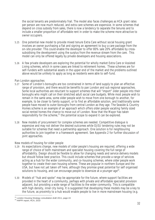the social tenants are predominately frail. The model also faces challenges as HCA grant rates per person are now much reduced, and extra care schemes are expensive. In some schemes that depend on cross subsidy from sales, there is now a tendency to separate the tenures and to include a smaller proportion of affordable rent in order to make the scheme more attractive to owner occupiers.

- 5.25 One potential new model to provide mixed tenure Extra Care without social housing grant involves an owner purchasing a flat and signing an agreement to buy a care package from the on-site provider. This could enable the developer to offer 80% sale 20% affordable by crosssubsidising the development using the surplus from the revenue stream from the care. This model can only be offered legally by private developers and housing associations.
- 5.26 A few private developers are exploring the potential for wholly market Extra Care or Assisted Living schemes, which in some cases are linked to retirement homes. These schemes are for self-funders with substantial assets in the upper end of the market and the problems outlined above would be unlikely to apply as long as residents were able to self-fund.

#### *Pan London approaches*

- 5.27 Some of London's boroughs are too constrained in terms of land supply to plan an effective range of provision, and there would be benefits to pan London and sub regional approaches. Some local authorities are reluctant to support schemes that will "import" older people into their boroughs who might call on their stretched adult social care budgets. While most people wish to remain in the same area, some older people wish to move from one borough to another, for example, to be closer to family support, or to find an affordable solution, and traditionally some people have moved to outer boroughs from central London as they age. The Seaside & Country Homes scheme is an example of an approach which offers older people vacating family sized social rented homes the chance to move out of London. Now that the Mayor has taken responsibility for the scheme, $31$  the potential scope to expand it can be explored.
- 5.28 New models of procurement for complex schemes are needed. Competitive dialogue is expensive and may not deliver the desired outcomes while OJEU tendering rules may not be suitable for schemes that need a partnership approach. One solution is for neighbouring authorities to join together in a framework agreement. See Appendix 2 for further discussion of joint approaches.

#### *New models of housing for older people*

- 5.29 As expectations change, new models of older people's housing are required, offering a wide range of choice of both mainstream and specialist housing covering the full range of affordability. Design should be flexible to allow for changing needs and service delivery models but should follow best practice. This could include schemes that provide a range of services acting as a hub for the wider community, and co-housing schemes, where older people work together to create their own housing scheme. These are popular in northern Europe and the USA, but have not yet taken off here, although they promise great potential for self organised solutions to housing, and can encourage people to downsize at a younger age<sup>32</sup>.
- 5.30 Models of "hub and spoke" may be appropriate for the future, where support facilities are provided in the heart of a community, perhaps with private and affordable specialist provision adjacent, but providing a wide range of facilities to the wider community. This is compatible with high density, inner city living. It is suggested that developing these models may be a key to the future, as proximity to a hub would enable people to live in more mainstream housing (e.g.

 $\overline{a}$ <sup>31</sup> London Housing Strategy consultation draft 2011, page 24

<sup>&</sup>lt;sup>32</sup> HAPPI report, HCA, 2010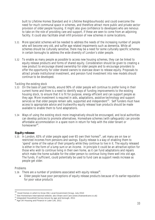built to Lifetime Homes Standard and in Lifetime Neighbourhoods) and could overcome the need for much communal space in schemes, and therefore attract more public and private sector provision of older people housing. It might also give confidence to developers who are nervous to take on the role of providing care and support, if these are seen to come from an adjoining facility. It could also facilitate small infill provision of new schemes in some locations.

- 5.31 More specialist schemes will be needed to address the needs of the increasing number of people who will become very old, and suffer age related impairments such as dementia. While all schemes should be culturally sensitive, there may be a need for some culturally specific schemes in certain boroughs to address the wide diversity of London's older people.
- 5.32 To enable as many people as possible to access new housing schemes, they can be linked to equity release products and forms of shared equity. Consideration should be given to creating a new product to encourage shared ownership for older people and to encourage providers to offer the opportunity for older shared owners to staircase down to release equity. Proposals to attract private institutional investment, and pension fund investment into new models should continue to be developed.

#### *Tackling the existing stock*

- 5.33 On the basis of past trends, around 90% of older people will continue to prefer living in their current home and there is a need to identify ways of funding improvements to the existing housing stock, to ensure that it is fit for purpose, energy efficient and can support people as they age. More investment is required in aids, adaptations, assistive technology and support services so that older people remain safe, supported and independent<sup>33</sup>. Self funders must have access to appropriate advice and trustworthy equity release/loan products should be made available to enable them to fund adaptations.
- 5.34 Ways of using the existing stock more imaginatively should be encouraged, and local authorities can develop policies to promote alternatives. Homeshare schemes (with safeguards) can provide affordable accommodation in a spare room in return for help with the older tenant or homeowner<sup>34</sup>.

#### **Equity release**

 $5.35$  In London, 65% of older people aged over 65 own their homes<sup>35</sup>, yet many are on low or restricted incomes from pensions and savings. Equity release is a way of enabling them to 'spend' some of the value of their property while they continue to live in it. The equity released is either in the form of a lump sum or an income. In principle it could be an attractive option for those who wish to continue living in their own home, as it can fund adaptations and repairs which make the home suitable for the older person to continue living there well into old age. The funds, if sufficient, could potentially be used to fund care as support needs increase as people get older.

#### *Problems*

 $\overline{\phantom{a}}$ 

- 5.36 There are a number of problems associated with equity release<sup>36</sup>.
	- Older people have poor perceptions of equity release products because of its earlier reputation for poor value products

 $^{33}$  Good Homes in which to Grow Old, Local Government Group, July 2010

<sup>34</sup> See Homeshare International website; also Share and Care (www.shareandcare.co.uk)

<sup>&</sup>lt;sup>35</sup> Integrated Household Survey tenure by age and borough, 2011

<sup>&</sup>lt;sup>36</sup> Age UK Housing and Finance in Later Life, 2011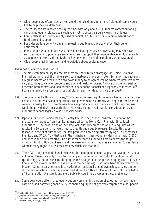- Older people are often reluctant to 'spend their children's inheritance' although some would like to help their children now
- The equity release market is still quite small with only about 25,000 home owners nationally concluding equity release deals each year, yet its potential size is clearly much larger
- Equity release is currently mainly used as capital (e.g. to fund home improvements) not to fund care and support
- For older welfare benefit claimants, releasing equity may adversely affect their benefit entitlement
- Many people who could otherwise consider releasing equity by downsizing may not have sufficient equity to purchase a suitable house to support their independence in old age, such as people who exercised the Right to Buy or where leasehold conditions are unfavourable
- Older people lack information and knowledge about equity release

#### *The range of equity release products*

- 5.37 The most common equity release products are the 'Lifetime Mortgage' or 'Home Reversion Plan' where a share of the home is sold to a mortgage provider in return for a tax-free cash sum, a regular income or a facility to draw down money to an agreed ceiling when required. Products vary according to value of property and age and health of owner. A range of schemes exist with different interest rates and loan criteria so independent financial and legal advice is essential<sup>37</sup>. Loans are repaid by a lump sum (capital plus interest) on death or sale of property.
- 5.38 The government's Housing Strategy<sup>38</sup> includes a proposed equity release scheme to enable older owners to fund repairs and adaptations. The government is currently working with the financial services industry to try to create new financial products linked to advice, which they propose would be provided via local authorities. How this is done needs careful consideration, as local authorities cannot legally provide financial advice.
- 5.39 Options for benefit recipients are currently limited. The Joseph Rowntree Foundation has piloted a new product from Just Retirement called the Home Cash Plan with three local authorities<sup>39</sup>. The pilot in one of the three local authority areas had only 20 enquiries which resulted in 10 solutions that were not reached through equity release. Despite this poor response in the pilot authorities, the new product is now being offered by Age UK Enterprises, FirstStop and SAGA. Now that it is in the mainstream it has found a wider market, with 1,200 enquiries in the first 9 months. The pilot local authorities found it hard to access the target group of Right to Buy purchasers, and the leasehold industry requires a minimum 70 year lease whereas many Right to Buy leases are now much less than this.
- 5.40 The HCA's programme of shared ownership for older people might appear to have potential but in London there were only 2 bids for funding such schemes in the 2008-11 bidding round (producing just 20 units each). The programme is targeted at people with equity from a previous home (with a maximum 70% of the value of the new home). It has now been taken over by the Mayor.<sup>40</sup> Some associations see it as riskier than traditional shared ownership, as sales can be slower and re-sales in such a specialist market can be difficult. There is little public knowledge of it as an option at present, and more publicity could help overcome these problems.
- 5.41 Some developers offer shared equity but only on a limited portion of sales, as it affects their cash flow and borrowing capacity. Such shared equity is not generally targeted at older people.

 $\overline{\phantom{a}}$ 

 $37$  FirstStop Guide to releasing capital from your home, EAC 2011

<sup>&</sup>lt;sup>38</sup> Laying the foundations: a housing strategy for England, CLG, 2011

<sup>&</sup>lt;sup>39</sup> Overcoming obstacles to equity release, JRF, 2006

<sup>40</sup> London Housing Strategy, 2011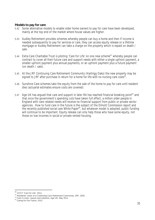#### **Models to pay for care**

- 5.42 Some alternative models to enable older home owners to pay for care have been developed, mainly at the top end of the market where house values are higher.
- 5.43 Audley Retirement provides schemes whereby people can buy a home and then if income is needed subsequently to pay for services or care, they can access equity release or a lifetime mortgage or Audley Retirement can take a charge on the property which is repaid on death / sale.
- 5.44 Extra Care Charitable Trust is piloting 'Care for Life' on one new scheme<sup>41</sup> whereby people can contract to cover all their future care and support needs with either a single upfront payment, a smaller upfront payment plus annual payments, or an upfront payment plus a future payment (on death / sale).
- 5.45 At the JRF Continuing Care Retirement Community (Hartrigg Oaks) the new property may be signed to JRF after purchase in return for a home for life with no nursing care costs $42$ .
- 5.46 Sunshine Care schemes take the equity from the sale of the home to pay for care until resident dies (actuarial estimates ensure costs are covered).
- 5.47 Age UK has argued that care and support in later life has reached financial breaking point<sup>43</sup> and that once the government's spending cuts have taken full effect, a million older people in England with care-related needs will receive no financial support from public or private sector agencies. How to fund care in the future is the subject of the Dilnott Commission report and the recently published social care White Paper<sup>44</sup>, but whatever model is adopted, public funding will continue to be important. Equity release can only help those who have some equity, not those on low incomes in social or private rented housing.

 $\overline{a}$ 

<sup>&</sup>lt;sup>41</sup> ECCT 'Care for Life', 2011

<sup>42</sup> Residents' views of a Continuing Care Retirement Community, JRF, 2003

<sup>&</sup>lt;sup>43</sup> Care in crisis: causes and solutions, Age UK, May 2011

<sup>44</sup> Caring for Our Future, 2012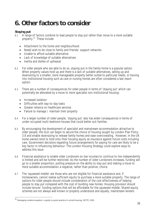## **6. Other factors to consider**

### **Staying put**

- 6.1 A range of factors combine to lead people to stay put rather than move to a more suitable property.<sup>45</sup> These include
	- Attachment to the home and neighbourhood
	- Need/wish to be close to family and friends/ support networks
	- Unable to afford suitable alternative
	- Lack of knowledge of suitable alternatives
	- Inertia and dislike of upheaval
- 6.2 For older people who are able to do so, staying put in the family home is a popular option. When property values hold up and there is a lack of suitable alternatives, selling up and downsizing to a smaller, more manageable property better suited to particular needs, or moving into institutional housing such as care or nursing homes are often considered a last resort option.
- 6.3 There are a number of consequences for older people in terms of 'staying put' which can potentially be alleviated by a move to more specialist non-institutional housing:
	- Increased isolation

 $\overline{\phantom{a}}$ 

- Difficulties with day-to-day tasks
- Greater reliance on healthcare services
- Failure to manage / maintain their property
- 6.4 For a larger number of older people, 'staying put' also has wider consequences in terms of under-occupied multi-bedroom houses that could better suit families.
- 6.5 By encouraging the development of specialist and mainstream accommodation attractive to older people, the GLA can begin to secure the choice of housing sought by London Plan Policy 3.8 and enable downsizing to release family homes and ease overcrowding. However, in the UK home owners tend to hold onto their housing equity as insurance against future costs including care. Government decisions regarding future arrangements for paying for care are likely to be a key factor in influencing behaviour. The London Housing Strategy could explore ways to address this issue.
- 6.6 Financial assistance to enable older Londoners on low incomes to continue to live independently is limited and will be further restricted. As the number of older Londoners increases, funding will go to a smaller proportion, putting pressure on the ability to stay put and making a move to more suitable accommodation a negative, rather than positive, choice.
- 6.7 The 'squeezed middle' are those who are not eligible for financial assistance and, if homeowners, cannot realise sufficient equity to purchase a more suitable property. The range of options for older people should include consideration of the cost effectiveness of helping people to stay put compared with the cost of building new homes. Housing provision should include tenure/ funding options that will be affordable for the squeezed middle. Shared equity schemes are not always well known or properly understood and equally, mainstream lenders

 $^{45}$  Managing underoccupation: a guide to good practice in social housing, DETR, 2001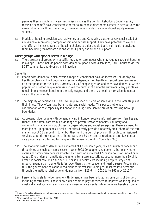perceive them as high risk. New mechanisms such as the London Rebuilding Society equity reversion scheme<sup>46</sup> have considerable potential to enable older home owners to access funds for essential repairs without the anxiety of making repayments in a conventional equity release scheme.

6.8 Models of housing provision such as Homeshare and Cohousing exist on a very small scale but are valuable in providing companionship and mutual support. They have potential to expand and offer an increased range of housing choices to older people but it is difficult to envisage them becoming mainstream options without policy and financial support.

#### **Other groups with special needs in old age**

6.9 There are several groups with specific housing or care needs who may require specialist housing in old age. These include people with dementia, people with disabilities, BAME households, the LGBT community and Gypsies and Travellers.

#### *Dementia*

- 6.10 People with dementia (which covers a range of conditions) have an increased risk of physical health problems and will become increasingly dependent on health and social care services and on other people for their care. Currently 23% of people aged 85 and over have dementia. As the population of older people increases so will the number of dementia sufferers. Many people will remain in mainstream housing in the early stages, and there is a need to normalise dementia care in the community.
- 6.11 The majority of dementia sufferers will require specialist care of some kind in the later stages of their illness. They often have both mental and social needs. This poses problems of coordination of care especially in London including some service provision crossing borough boundaries
- 6.12 At present, older people with dementia living in London receive informal care from families and friends, and formal care from a wide range of private sector companies, voluntary and community organisations, public sector organisations and social enterprises. There is a need for more joined-up approaches. Local authorities directly provide a relatively small share of the care market: about 13 per cent in total, but they fund the bulk of provision through commissioned services: around three-quarters of home care, and 80 per cent of residential care. Residential care places are hard to find for people with dementia (London Councils 2008).
- 6.13 The economic cost of dementia is estimated at £23 billion a year, twice as much as cancer and three times as much as heart disease. $47$  Over 800,000 people have dementia but many more carers and family members are affected by it with an estimated 1.5 billion hours of unpaid care. About 37% of dementia patients are in long-term care institutions, costing more than £9 billion a year in social care and a further £1.2 billion in health care including hospital stays. Yet research spending on dementia is far lower than that for cancer and heart disease. Recognising this, the government has announced plans for increased funding for research into dementia through the 'national challenge on dementia' from £26.6m in 2010 to to £66m by 2015.<sup>48</sup>
- 6.14 Personal budgets for older people with dementia have been piloted in some parts of London, including Westminster. These allow older people to pay for services to improve wellbeing and to meet individual social interests, as well as meeting care needs. While there are benefits from an

 $\overline{a}$ 

 $^{46}$  London Rebuilding Society has a home improvement scheme which renovates homes in return for a percentage of the equity. See www.londonrebuilding.com

<sup>47</sup> Alzheimer's Research Trust, *Dementia*, 2010

<sup>&</sup>lt;sup>48</sup> The Guardian 26 March 2012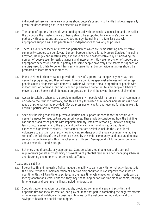individualised service, there are concerns about people's capacity to handle budgets, especially given the deteriorating nature of dementia as an illness.

- 6.15 The range of options for people who are diagnosed with dementia is increasing, and the earlier the diagnosis the greater chance of being able to be supported to live in one's own home, perhaps with adaptations and assistive technology. Remaining in a familiar place with appropriate support will help people retain independence for as long as possible.
- 6.16 There is a variety of local initiatives and partnerships which are demonstrating how effective community support can be. Several London boroughs have piloted Memory Services (Including Croydon, Haringey and Westminster) and these can be a cost-effective way of increasing the number of people seen for early diagnosis and intervention. However, provision of support and appropriate services in London is patchy and some people have very little access to support, or are diagnosed too late to benefit from early interventions. London wide initiatives should be promoted to learn from best practice.
- 6.17 Many sheltered schemes cannot provide the level of support that people may need as their dementia progresses, and they will need to move on. Some specialist schemes will not accept people already diagnosed with dementia. Others will accept a small proportion of people with milder forms of dementia, but most cannot guarantee a home for life, and people will have to move to a care home if their dementia progresses, or if their behaviour becomes challenging.
- 6.18 Access to suitable schemes is a problem, particularly if people wish to remain in their community or close to their support network, and this is likely to worsen as numbers increase unless a new range of schemes can be provided. Severe pressures on capital and revenue funding make this difficult, particularly in central London.
- 6.19 Specialist housing that will help remove barriers and support independence for people with dementia needs to meet certain design principles. These include considering how the building can support and assist people with impaired memory, impaired reasoning, impaired ability to learn or acute sensitivity to the social and built environment and noise, or people who experience high levels of stress. Other factors that are desirable include the use of local volunteers to assist in social activities, involving residents with the local community, enabling some of the facilities of the scheme to be used by the wider community, and encouraging local services to be delivered within the scheme (e.g. library). See Appendix 1 for more information about dementia-friendly design.
- 6.20 Schemes should be culturally appropriate. Consideration should be given to the cultural requirements (whether by ethnicity or sexuality) of potential residents when managing schemes and designing environments for dementia sufferers.

#### *Access and disability*

- 6.21 Poorer health and increasing frailty impede the ability to carry on with normal activities outside the home. While the implementation of Lifetime Neighbourhoods can improve that situation over time, this will take time to achieve. In the meantime, while people's physical needs can be met by adaptations, carer visits etc, they may spend long periods of time alone at home, leading to loneliness and even mental illness including depression.
- 6.22 Specialist accommodation for older people, providing communal areas and activities and opportunities for social interaction, can play an important part in combating the negative effects of loneliness and isolation with positive outcomes for the wellbeing of individuals and cost savings to health and social care budgets.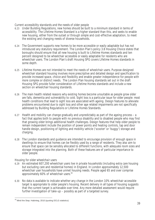#### *Current accessibility standards and the needs of older people*

- 6.23 Under Building Regulations, new homes should be built to a minimum standard in terms of accessibility. The Lifetime Homes Standard is a higher standard than this, and seeks to enable new housing, either from the outset or through simple and cost-effective adaptation, to meet the existing and changing needs of diverse households.
- 6.24 The Government supports new homes to be more accessible or easily adaptable but has not introduced any statutory requirement. The London Plan's policy 3.8 Housing Choice states that boroughs should ensure that all new housing is built to Lifetime Homes standards and ten percent designed to be wheelchair accessible or easily adaptable for residents who are wheelchair users. The London Plan's draft Housing SPG covers Lifetime Homes standards in some depth.
- 6.25 Lifetime Homes are not intended to meet the needs of wheelchair users. Purpose-designed wheelchair standard housing involves more prescriptive and detailed design and specification to provide increased space, choice and flexibility and enable greater independence for people with more complex or distinct needs. The London Plan housing standards set out in the draft Housing SPG provide fuller consideration of Lifetime Homes standards and include a new section on wheelchair housing standards.
- 6.26 The main health related reasons why existing homes become unsuitable as people grow older are falls, dementia and vulnerability to cold. Sight loss is a particular issue for older people: most health conditions that lead to sight loss are associated with ageing. Design features to alleviate problems encountered due to sight loss and other age related impairments are not specifically addressed by Building Regulations or Lifetime Homes Standards.
- 6.27 Health and mobility can change gradually and unpredictably as part of the ageing process a fact that applies both to people with no previous disability and to disabled people who may find that growing older brings additional health challenges. Design features that help older people to remain independent include the position of power points and heating controls, tap and door handle design, positioning of lighting and mobility vehicle ('scooter' or 'buggy') storage and charging.
- 6.28 The London standards and guidance are intended to encourage provision of enough space in dwellings to ensure that homes can be flexibly used by a range of residents. They also aim to ensure that space can be sensibly allocated to different functions, with adequate room sizes and storage integrated into the planning. Both of these features are of particular importance to older people.

#### *Housing for older wheelchair users*

- 6.29 An estimated 607,200 wheelchair users live in private households (including extra care housing but excluding care and residential homes) in England. In London approximately 12,500 wheelchair user households have unmet housing needs. People aged 65 and over comprise approximately 60% of wheelchair users.<sup>49</sup>
- 6.30 No data is available to indicate whether any change in the London 10% wheelchair accessible target is appropriate to older people's housing. Recent delivery in all types of housing suggests that the current target is achievable over time. Any more detailed assessment would require further investigation of take-up – possibly as part of a targeted survey.

 $\overline{a}$ <sup>49</sup> Mind the Step. Habinteg, 2010 (quoting DCLG statistics)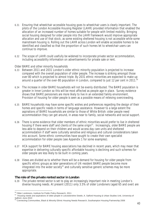- 6.31 Ensuring that wheelchair accessible housing goes to wheelchair users is clearly important. The pilots of the London Accessible Housing Register (LAHR) provided information that enabled the allocation of an increased number of homes suitable for people with limited mobility. Bringing social housing designed for older people into the LAHR framework would improve appropriate allocation and use of that stock, as some existing sheltered housing is not accessible while some mainstream housing is. Rolling out the LAHR across London will enable accessible homes to be identified and classified so that the proportion of such homes let to wheelchair users can continue to improve.
- 6.32 The scope of LAHR could usefully be widened to incorporate private sector accommodation, including accessibility information on advertisements for private sale or rent.

#### *Older BAME and other minority households*

- 6.33 Between 2011 and 2031 London's older ethnic minority population is projected to increase compared with the overall population of older people. The increase is striking amongst those over 80 which is projected to almost triple. By 2031 ethnic minorities are expected to make up around a quarter of the over-80 population in London, compared to just 12 per cent in 2011. $50$
- 6.34 The increase in older BAME households will not be evenly distributed. The BAME population is greater in Inner London so this will be most affected as people age in place. Survey evidence shows that BAME pensioners are more likely to live in an extended family environment. Provision of housing for older people is seen as a possible means of relieving overcrowding.
- 6.35 BAME households may have some specific wishes and preferences regarding the design of their homes and specific needs in terms of language assistance. However to a large extent the aspirations of BAME households are similar to those of White British: older people need accommodation they can get around, in areas near to family, social networks and social support.
- 6.36 There is some evidence that older members of ethnic minorities would prefer to live in sheltered housing if there were staff and clients of the same origin<sup>51</sup>. Increasingly, older BAME people are less able to depend on their children and would access day care units and sheltered accommodation if staff were culturally sensitive and religious and cultural considerations taken into account. Some ethnic communities have sought to create their own specialist accommodation for older people (see Appendix 1 for some examples).
- 6.37 HCA support for BAME housing associations has declined in recent years, which may mean that expertise in delivering culturally specific affordable housing is declining and such schemes for older people are less likely to be built in coming years.
- 6.38 Views are divided as to whether there will be a demand for housing for older people from specific ethnic groups as later generations of UK-resident BAME people become more integrated into the wider society<sup>52</sup> and culturally sensitive generic schemes may be more appropriate.

#### **The role of the private rented sector in London**

6.39 The private rented sector is set to play an increasingly important role in meeting London's diverse housing needs. At present (2011) only 3.5% of older Londoners (aged 65 and over) are

 $\overline{a}$ <sup>50</sup> Older Londoners, Institute for Public Policy Research, 2011

<sup>51</sup> Housing needs and aspirations of older people in Leicestershire Steele, A. Salford Housing & Urban Studies Unit, University of

Salford, June 2010<br><sup>52</sup> Connecting Communities, Black & Minority Ethnic Housing Needs Research, Southampton Housing Partnership 2006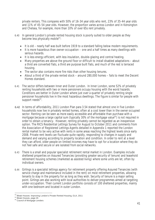private renters. This compares with 50% of 16-34 year olds who rent, 23% of 35-44 year olds and 11% of 45-54 year olds. However, the proportion varies across London and in Kensington and Chelsea, for example, more than 10% of over 65s rent privately.

- 6.40 In general London's private rented housing stock is poorly suited to older people as they become less physically mobile<sup>53</sup>:
	- It is old nearly half was built before 1919 to a standard falling below modern requirements.
	- It is more hazardous than owner-occupation one and a half times as many dwellings with serious hazards.
	- It is less energy efficient, with less insulation, double-glazing and central heating.
	- Many properties are above the ground floor or difficult to install disabled adaptations about a third are converted flats, a third are purpose built flats, and much of the rest is terraced housing.
	- The sector also contains more fire risks than other housing tenures.
	- About a third of the private rented stock around 280,000 homes fails to meet the Decent Homes standard.
- 6.41 The sector differs between Inner and Outer London. In Inner London, some 52% of privately renting households with two or more pensioners occupy housing with the worst hazards. Conditions are better in Outer London where just over a quarter of privately renting single pensioner households live in the most hazardous dwellings. The figure is similar for people with support needs<sup>54</sup>.
- 6.42 In terms of affordability, 2011 London Plan para 3.54 stated that almost one in five London households now live in privately rented homes, often at a cost lower than in the owner occupied sector. Renting can be seen as more easily accessible and affordable than purchase with a mortgage because a large capital sum (typically 30% of the mortgage value<sup>55</sup>) is not required in order to obtain a tenancy. However, renting privately cannot be regarded as an inexpensive option. The RICS Residential Lettings Survey for August to October 2011 and comments from the Association of Registered Lettings Agents detailed in Appendix 1 reported the London rental market to be very active with rents in some areas reaching the highest levels since early 2008. Private rent levels can fluctuate quite rapidly, responding to changes in supply and demand and varying according to property location and condition. In order to rent at a level they can afford, older people on limited incomes may have to opt for a location where they do not feel safe and secure or are isolated from social networks.
- 6.43 There is a small and popular specialist retirement rental market in London. Examples include sheltered properties on Assured Tenancies (providing greater security of tenure) and leasehold retirement housing schemes (marketed as assisted living) where some units are let, often by individual owners.
- 6.44 Girlings is a specialist lettings agency for retirement property offering Assured Tenancies (with service charge and maintenance included in the rent) on most retirement properties, allowing tenants to stay in the property for as long as they wish. Security of tenure is a major selling point. Girlings are also working with local authorities to deliver programmes aimed at targeting under-occupation. Their current London portfolio consists of 100 sheltered properties, mainly with one bedroom and located in outer London.

 $\overline{a}$ <sup>53</sup> Bleak Houses: Improving London's Private Rented Housing, GLA, 2011

<sup>&</sup>lt;sup>54</sup> Bleak Houses, page 45

<sup>55</sup> Council of Mortgage Lenders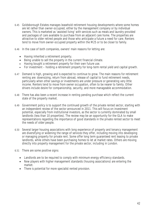- 6.45 Goldsborough Estates manages leasehold retirement housing developments where some homes are let rather than owner-occupied, either by the management company or by individual owners. This is marketed as 'assisted living' with services such as meals and laundry provided and packages of care available to purchase from an adjacent care home. The properties are attractive to older retired people and those who anticipate a future a need for care. Renters tend to move from owner-occupied property within the M25 or to be closer to family.
- 6.46 In the case of both companies, owners' main reasons for letting are:
	- Having inherited a retirement property.
	- Being unable to sell the property in the current financial climate.
	- Having bought a retirement property for their own future use.
	- For investment holding a retirement property for long-term rental yield and capital growth.
- 6.47 Demand is high, growing and is expected to continue to grow. The main reasons for retirement renting are: downsizing, return from abroad, release of capital to fund retirement needs, particularly when other savings or investments are under pressure or generating very little income. Renters tend to move from owner occupation, often to be nearer to family. Other drivers include desire for companionship, security, and more manageable accommodation.
- 6.48 There has also been a recent increase in renting pending purchase which reflect the current state of the property market.
- 6.49 Government policy is to support the continued growth of the private rented sector, starting with an independent review of the sector announced in 2011. This will focus on investment potential, especially from institutional investors, as the sector is currently dominated by small landlords (less than 10 properties). The review may be an opportunity for the GLA to make representations regarding the importance of good standards in the private rented sector to meet the needs of older people.
- 6.50 Several larger housing associations with long experience of property and tenancy management are diversifying or widening the range of services they offer, including moving into developing or managing property for private rent. Some offer long term guaranteed rent leasing to private landlords, while others have been purchasing homes to let at market rates. Others are moving directly into property management for the private sector, including in London.
- 6.51 There are some positive signs:
	- Landlords are to be required to comply with minimum energy efficiency standards.
	- New players with higher management standards (housing associations) are entering the market.
	- There is potential for more specialist rented provision.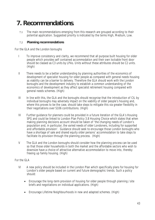## **7. Recommendations.**

7.1 The main recommendations emerging from this research are grouped according to their potential application. Suggested priority is indicated by the terms High, Medium, Low.

#### 7.2 **Planning recommendations**

#### *For the GLA and the London boroughs*

- I To improve consistency and clarity, we recommend that all purpose built housing for older people which provides self contained accommodation and their own lockable front door should be classed as C3 units by LPAs. Units without these attributes should be C2 units. (High)
- II There needs to be a better understanding by planning authorities of the economics of development of specialist housing for older people as compared with general needs housing as viability can be a barrier to delivery. Therefore the GLA should work with the London boroughs and the development industry to establish a common understanding of the economics of development as they affect specialist retirement housing compared with general needs schemes. (High)
- III In line with this, the GLA and the boroughs should recognise that the introduction of CIL by individual boroughs may adversely impact on the viability of older people's housing and, where this proves to be the case, should take steps to mitigate this via greater flexibility in their negotiations over S106 contributions. (High)
- IV Further guidance for planners could be provided in a future iteration of the GLA's Housing SPG and could be linked to London Plan Policy 3.8 Housing Choice which states that when making planning decisions account should be taken of '*the changing needs of London's population and, in particular, the varied needs of older Londoners, including for supported and affordable provision'.* Guidance should seek to encourage those London boroughs who have a shortage of sale and shared equity older persons' accommodation to take steps to facilitate its provision through the planning process. (High)
- V The GLA and the London boroughs should consider how the planning process can be used so that those older households in both the market and the affordable sectors who wish to downsize have a choice of attractive alternative accommodation to move into, thereby freeing up family housing. (High)

#### *For the GLA*

- VI A new policy should be included in the London Plan which specifically plans for housing for London's older people based on current and future demographic trends. Such a policy should:
	- Encourage the long-term provision of housing for older people through planning /site briefs and negotiations on individual applications. (High)
	- Encourage Lifetime Neighbourhoods in new and adapted schemes. (High)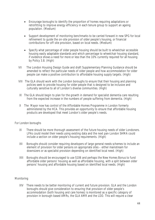- Encourage boroughs to identify the proportion of homes requiring adaptations or retrofitting to improve energy efficiency in each tenure group to support an ageing population. (Medium)
- Support development of monitoring benchmarks to be carried forward in new SPG for local refinement to guide the on-site provision of older people's housing, or financial contributions for off-site provision, based on local needs. (Medium)
- Specify what percentage of older people housing should be built to wheelchair accessible housing easily adaptable standards and which percentage to wheelchair housing standard, if evidence shows a need for more or less than the 10% currently required for all housing by Policy 3.8. (High)
- VII The London Housing Design Guide and draft Supplementary Planning Guidance should be amended to reflect the particular needs of older people and how accommodation for older people can make a positive contribution to affordable housing supply targets. (High)
- VIII The GLA should work with the London boroughs to ensure that their housing and planning policies seek to provide housing for older people that is designed to be inclusive and culturally sensitive to all of London's diverse communities. (High)
- IX The GLA should begin to plan for the growth in demand for specialist dementia care resulting from the expected increase in the numbers of people suffering from dementia. (High)
- X The Mayor now has control of the Affordable Homes Programme in London formerly administered by the HCA. This provides an opportunity to ensure that affordable housing products are developed that meet London's older people's needs.

#### *For London boroughs*

- XI There should be more thorough assessment of the future housing needs of older Londoners. LPAs could model their needs using existing data and the next pan-London SHMA could include a section on older people's housing requirements. (High)
- XII Boroughs should consider requiring developers of large general needs schemes to include an element of provision for older persons on appropriate sites – either mainstream for downsizers or as specialist provision depending on identified local need. (High)
- XIII Boroughs should be encouraged to use S106 and perhaps the New Homes Bonus to fund affordable older persons' housing as well as affordable housing, with a split between older persons' housing and affordable housing based on identified local needs. (High)

#### *Monitoring*

XIV There needs to be better monitoring of current and future provision. GLA and the London boroughs should give consideration to ensuring that provision of older people's accommodation (both housing and care homes) is monitored as a specific category of provision in borough-based AMRs, the GLA AMR and the LDD. This will require a clear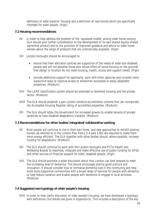definition of older persons' housing and a definition of care homes which are specifically intended for older people. (High)

#### **7.2 Housing recommendations**

- XV In order to help address the problem of the 'squeezed middle' among older home owners, GLA should give further consideration to the development of its own shared equity/shared ownership product and to the provision of improved guidance and advice to older home owners about the range of products that are commercially available. (High)
- XVI London boroughs should be encouraged to:
	- ensure that their allocation policies are supportive of the needs of older and disabled people and will not penalise those who refuse offers of social housing on the grounds that design or location do not meet housing, health, access and support needs. (High)
	- provide additional support for applicants, work with other agencies and consider more supportive ways to improve access to wheelchair accessible or easily adaptable properties. (Medium)
- XVII The LAHR classification system should be extended to sheltered housing and the private sector. (Medium)
- XVIII The GLA should establish a pan-London landlord accreditation scheme that can incorporate the Accessible Housing Register rating of accredited properties. (Medium)
- XIX The GLA should lobby the Government for increased powers to enable tenants of private landlords to have disabled adaptations installed. (Medium)

#### **7.3 Recommendations for other bodies/integrated/collaborative working**

- XX Most people will continue to live in their own home, and new approaches to retrofit existing homes (as referred to in the London Plan Policy 5.4 para 3.80) are required to make them more energy efficient. The GLA together with other bodies should, where possible, increase funding for adaptations. (Medium)
- XXI The GLA should continue to work with the London boroughs and PCTs/Health and Wellbeing Boards to maximise, integrate and make effective use of public funding for DFGs and other sources of financial support for older, disabled people. (High)
- XXII The GLA should promote a wider discussion about how London can best prepare to meet the increasing level of dementia. This should encourage sharing good practice and innovation. It should consider how to normalise dementia care in the community and help build more supportive communities with a broad range of services for people with dementia to help reduce isolation and enable people with dementia to engage in local activities. (Medium)

#### **7.4 Suggested new typology of older people's housing**

XXIII In order to help clarify discussion of older people's housing, we have developed a typology with definitions (full details are given in Appendix 6). This includes a description of the key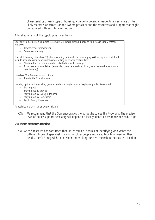characteristics of each type of housing, a guide to potential residents, an estimate of the likely market size across London (where possible) and the resources and support that might be required with each type of housing.

A brief summary of the typology is given below.

| Specialist* older person's housing (Use Class C3) where planning policies to increase supply may be<br>required:                                                                                                                                                                                                                                                                    |
|-------------------------------------------------------------------------------------------------------------------------------------------------------------------------------------------------------------------------------------------------------------------------------------------------------------------------------------------------------------------------------------|
| Downsizer accommodation                                                                                                                                                                                                                                                                                                                                                             |
| Senior co-housing                                                                                                                                                                                                                                                                                                                                                                   |
| Specialist housing (Use class C3) where planning policies to increase supply will be required and should<br>include separate viability appraisals when setting developer contributions<br>Sheltered accommodation (also called retirement housing)<br>Extra care accommodation (also called close care, assisted living, very sheltered or continuing<br>$\bullet$<br>care housing) |
| Use class C2 - Residential institutions                                                                                                                                                                                                                                                                                                                                             |
| Residential / nursing care                                                                                                                                                                                                                                                                                                                                                          |
| Housing options using existing general needs housing for which no planning policy is required<br>Staying put<br>Staying put by sharing<br>Staying put by taking in lodgers<br>Staying put by Homeshare<br>$\bullet$<br>Let to Rent / Freespace<br>$\bullet$                                                                                                                         |
| *Specialist in that it has an age restriction                                                                                                                                                                                                                                                                                                                                       |

- XXIV We recommend that the GLA encourages the boroughs to use this typology. The precise
- level of policy support necessary will depend on locally identified evidence of need. (High)

#### **7.5 More research needed**

XXV As this research has confirmed that issues remain in terms of identifying who wants the different types of specialist housing for older people and its suitability in meeting their needs, the GLA may wish to consider undertaking further research in the future. (Medium)